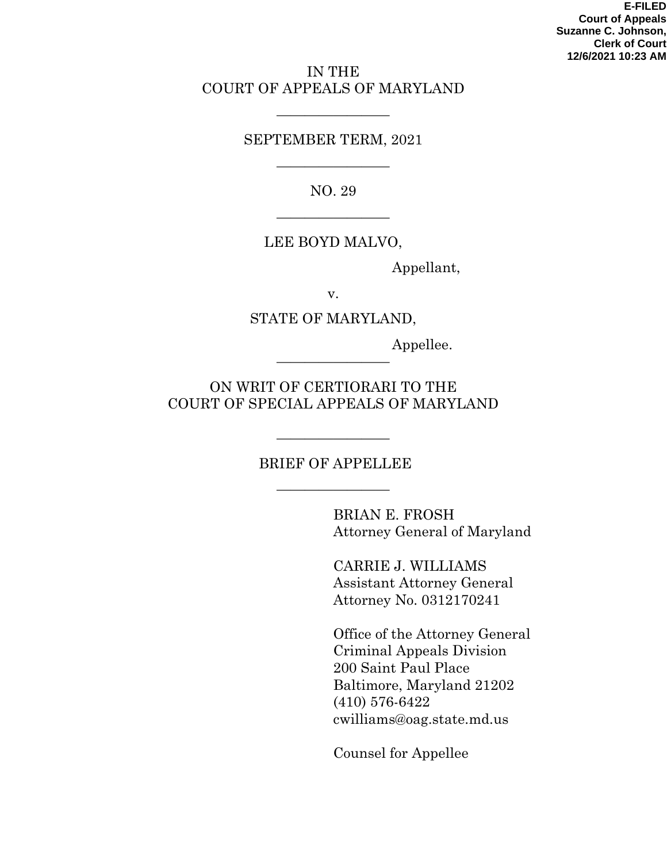#### IN THE COURT OF APPEALS OF MARYLAND

#### SEPTEMBER TERM, 2021

————————

NO. 29

————————

————————

### LEE BOYD MALVO,

Appellant,

v.

#### STATE OF MARYLAND,

Appellee.

ON WRIT OF CERTIORARI TO THE COURT OF SPECIAL APPEALS OF MARYLAND

————————

#### BRIEF OF APPELLEE

————————

————————

BRIAN E. FROSH Attorney General of Maryland

CARRIE J. WILLIAMS Assistant Attorney General Attorney No. 0312170241

Office of the Attorney General Criminal Appeals Division 200 Saint Paul Place Baltimore, Maryland 21202 (410) 576-6422 cwilliams@oag.state.md.us

Counsel for Appellee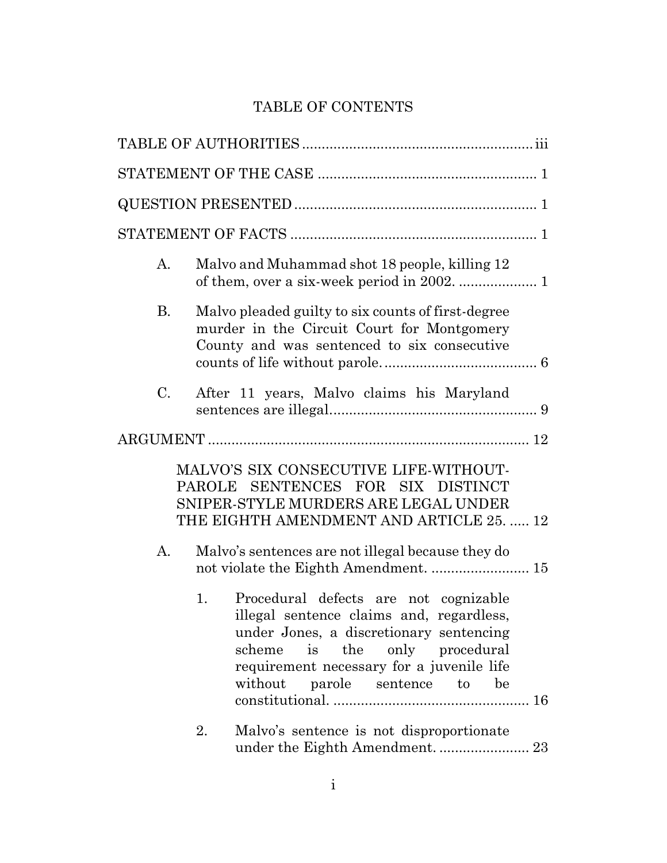# TABLE OF CONTENTS

| А.          | Malvo and Muhammad shot 18 people, killing 12                                                                                                                                                                                                                                                       |  |  |  |
|-------------|-----------------------------------------------------------------------------------------------------------------------------------------------------------------------------------------------------------------------------------------------------------------------------------------------------|--|--|--|
| <b>B.</b>   | Malvo pleaded guilty to six counts of first-degree<br>murder in the Circuit Court for Montgomery<br>County and was sentenced to six consecutive                                                                                                                                                     |  |  |  |
| $C_{\cdot}$ | After 11 years, Malvo claims his Maryland                                                                                                                                                                                                                                                           |  |  |  |
|             |                                                                                                                                                                                                                                                                                                     |  |  |  |
| А.          | MALVO'S SIX CONSECUTIVE LIFE-WITHOUT-<br>PAROLE SENTENCES FOR SIX DISTINCT<br>SNIPER-STYLE MURDERS ARE LEGAL UNDER<br>THE EIGHTH AMENDMENT AND ARTICLE 25.  12<br>Malvo's sentences are not illegal because they do                                                                                 |  |  |  |
|             | not violate the Eighth Amendment.  15<br>Procedural defects are not cognizable<br>1.<br>illegal sentence claims and, regardless,<br>under Jones, a discretionary sentencing<br>the only procedural<br>is<br>scheme<br>requirement necessary for a juvenile life<br>without parole sentence to<br>be |  |  |  |
|             | 2.<br>Malvo's sentence is not disproportionate<br>under the Eighth Amendment.  23                                                                                                                                                                                                                   |  |  |  |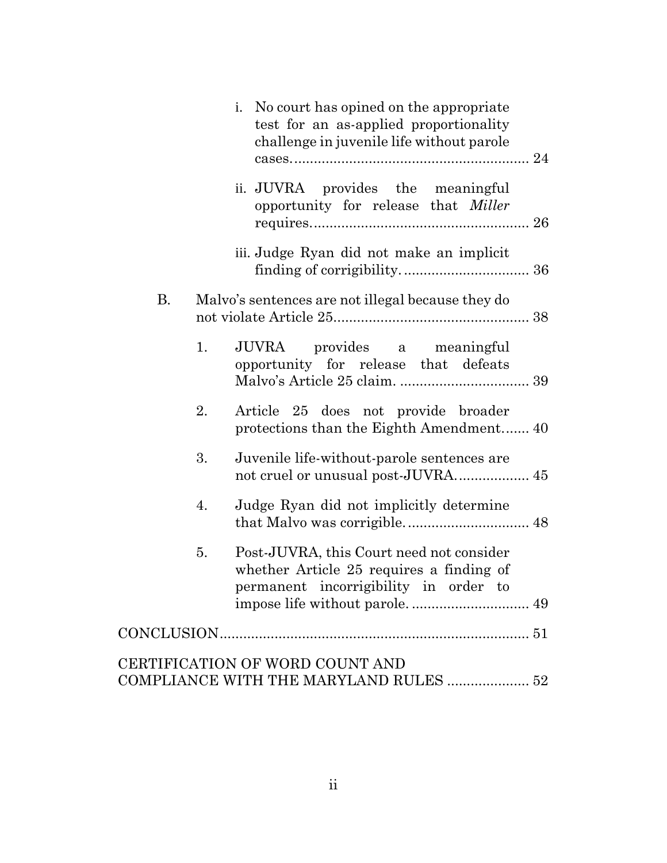|                                                                           |    | No court has opined on the appropriate<br>$\mathbf{i}$ .<br>test for an as-applied proportionality<br>challenge in juvenile life without parole |  |  |
|---------------------------------------------------------------------------|----|-------------------------------------------------------------------------------------------------------------------------------------------------|--|--|
|                                                                           |    | ii. JUVRA provides the meaningful<br>opportunity for release that <i>Miller</i>                                                                 |  |  |
|                                                                           |    | iii. Judge Ryan did not make an implicit                                                                                                        |  |  |
| <b>B.</b>                                                                 |    | Malvo's sentences are not illegal because they do                                                                                               |  |  |
|                                                                           | 1. | JUVRA provides a meaningful<br>opportunity for release that defeats                                                                             |  |  |
|                                                                           | 2. | Article 25 does not provide broader<br>protections than the Eighth Amendment 40                                                                 |  |  |
|                                                                           | 3. | Juvenile life-without-parole sentences are                                                                                                      |  |  |
|                                                                           | 4. | Judge Ryan did not implicitly determine                                                                                                         |  |  |
|                                                                           | 5. | Post-JUVRA, this Court need not consider<br>whether Article 25 requires a finding of<br>permanent incorrigibility in order to                   |  |  |
|                                                                           |    |                                                                                                                                                 |  |  |
| CERTIFICATION OF WORD COUNT AND<br>COMPLIANCE WITH THE MARYLAND RULES  52 |    |                                                                                                                                                 |  |  |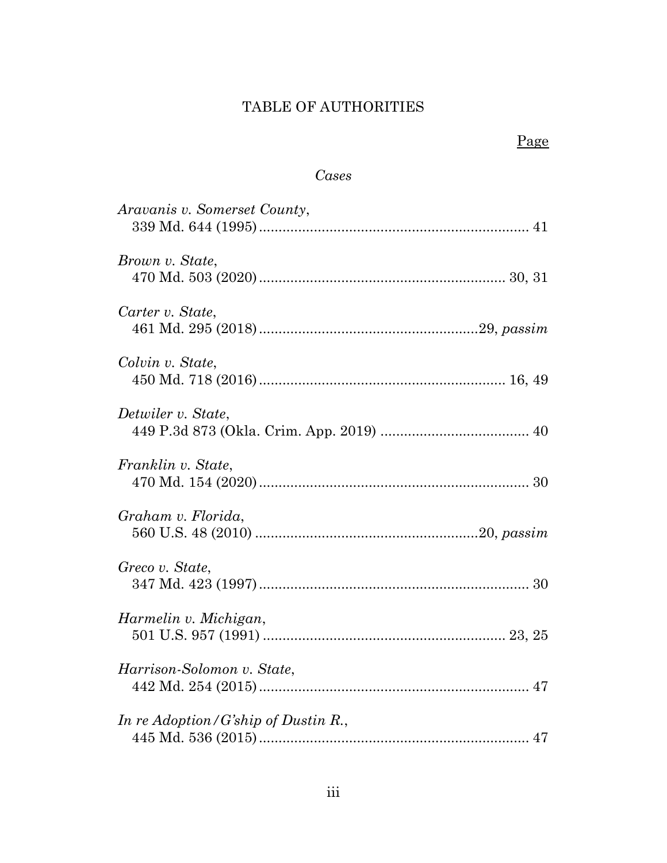# TABLE OF AUTHORITIES

# Page

# *Cases*

| Aravanis v. Somerset County,        |
|-------------------------------------|
| Brown v. State,                     |
| Carter v. State,                    |
| Colvin v. State,                    |
| Detwiler v. State,                  |
| Franklin v. State,                  |
| Graham v. Florida,                  |
| Greco v. State,                     |
| Harmelin v. Michigan,               |
| Harrison-Solomon v. State,          |
| In re Adoption/G'ship of Dustin R., |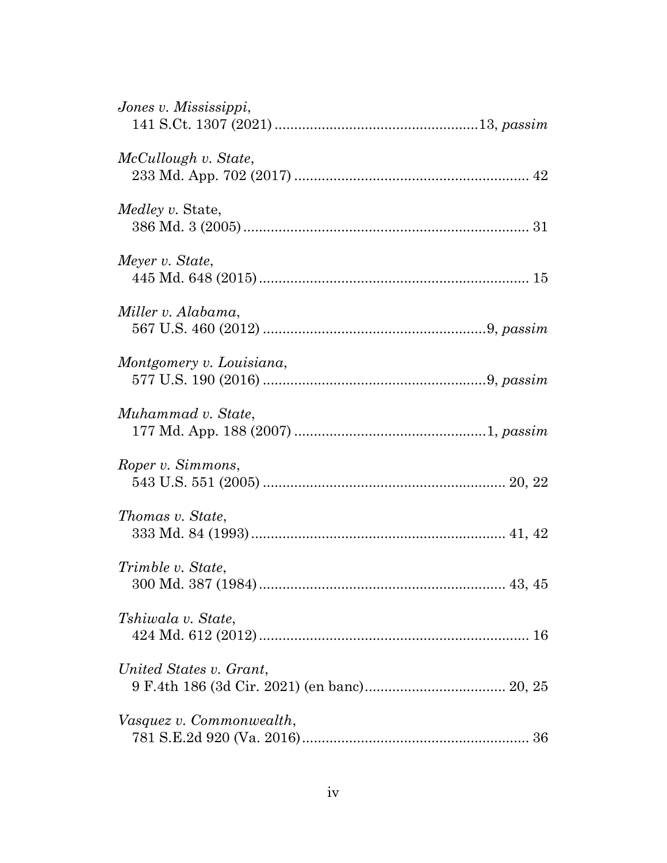| Jones v. Mississippi,    |
|--------------------------|
| McCullough v. State,     |
| <i>Medley v.</i> State,  |
| Meyer v. State,          |
| Miller v. Alabama,       |
| Montgomery v. Louisiana, |
| Muhammad v. State,       |
| Roper v. Simmons,        |
| <i>Thomas v. State,</i>  |
| Trimble v. State,        |
| Tshiwala v. State.       |
| United States v. Grant.  |
| Vasquez v. Commonwealth, |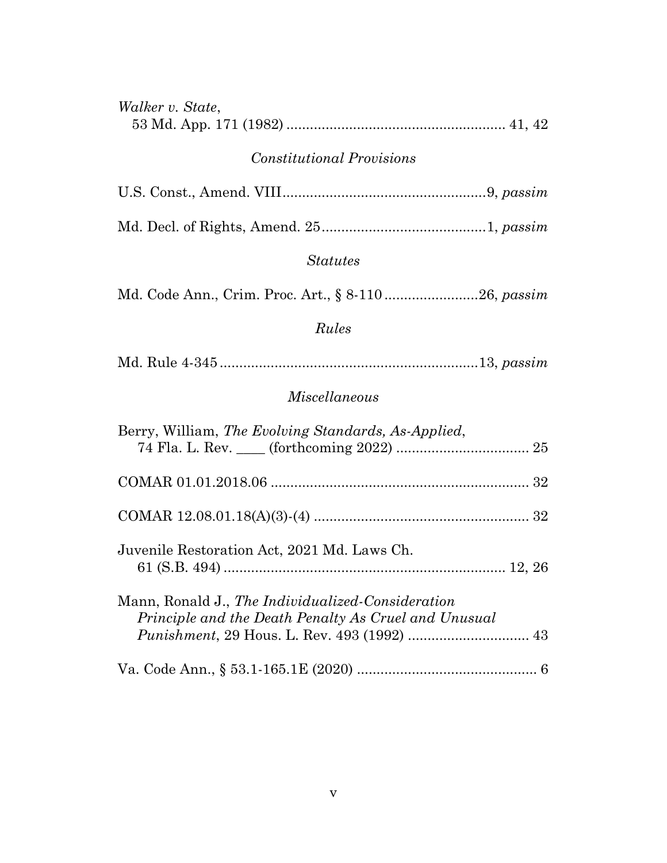| Walker v. State,                                                                                          |  |  |  |  |
|-----------------------------------------------------------------------------------------------------------|--|--|--|--|
| <b>Constitutional Provisions</b>                                                                          |  |  |  |  |
|                                                                                                           |  |  |  |  |
|                                                                                                           |  |  |  |  |
| <i><u>Statutes</u></i>                                                                                    |  |  |  |  |
| Md. Code Ann., Crim. Proc. Art., § 8-11026, passim                                                        |  |  |  |  |
| Rules                                                                                                     |  |  |  |  |
|                                                                                                           |  |  |  |  |
| Miscellaneous                                                                                             |  |  |  |  |
| Berry, William, The Evolving Standards, As-Applied,                                                       |  |  |  |  |
|                                                                                                           |  |  |  |  |
|                                                                                                           |  |  |  |  |
| Juvenile Restoration Act, 2021 Md. Laws Ch.                                                               |  |  |  |  |
| Mann, Ronald J., The Individualized-Consideration<br>Principle and the Death Penalty As Cruel and Unusual |  |  |  |  |
|                                                                                                           |  |  |  |  |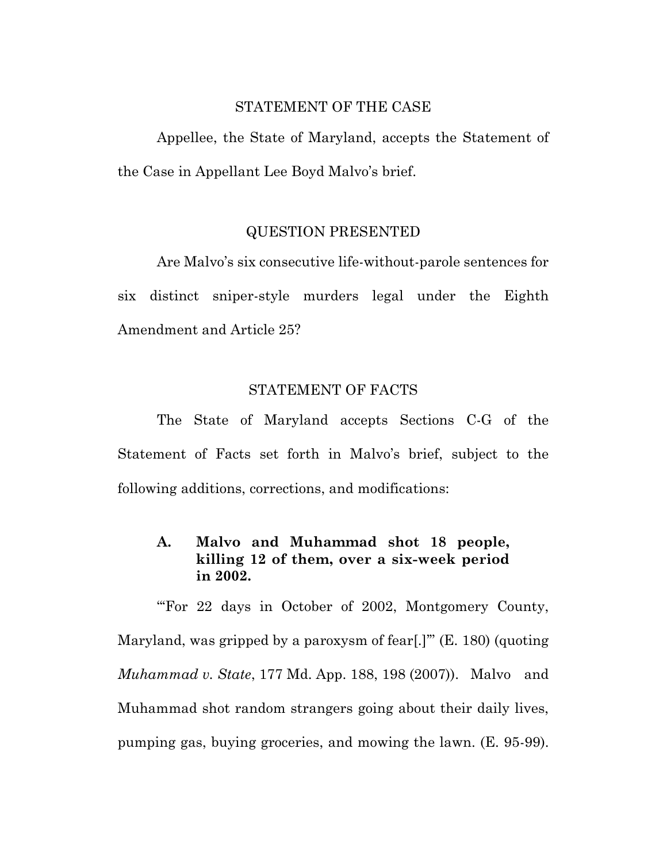#### STATEMENT OF THE CASE

Appellee, the State of Maryland, accepts the Statement of the Case in Appellant Lee Boyd Malvo's brief.

#### QUESTION PRESENTED

Are Malvo's six consecutive life-without-parole sentences for six distinct sniper-style murders legal under the Eighth Amendment and Article 25?

#### STATEMENT OF FACTS

The State of Maryland accepts Sections C-G of the Statement of Facts set forth in Malvo's brief, subject to the following additions, corrections, and modifications:

### **A. Malvo and Muhammad shot 18 people, killing 12 of them, over a six-week period in 2002.**

"For 22 days in October of 2002, Montgomery County, Maryland, was gripped by a paroxysm of fear[.]'" (E. 180) (quoting *Muhammad v. State*, 177 Md. App. 188, 198 (2007)). Malvo and Muhammad shot random strangers going about their daily lives, pumping gas, buying groceries, and mowing the lawn. (E. 95-99).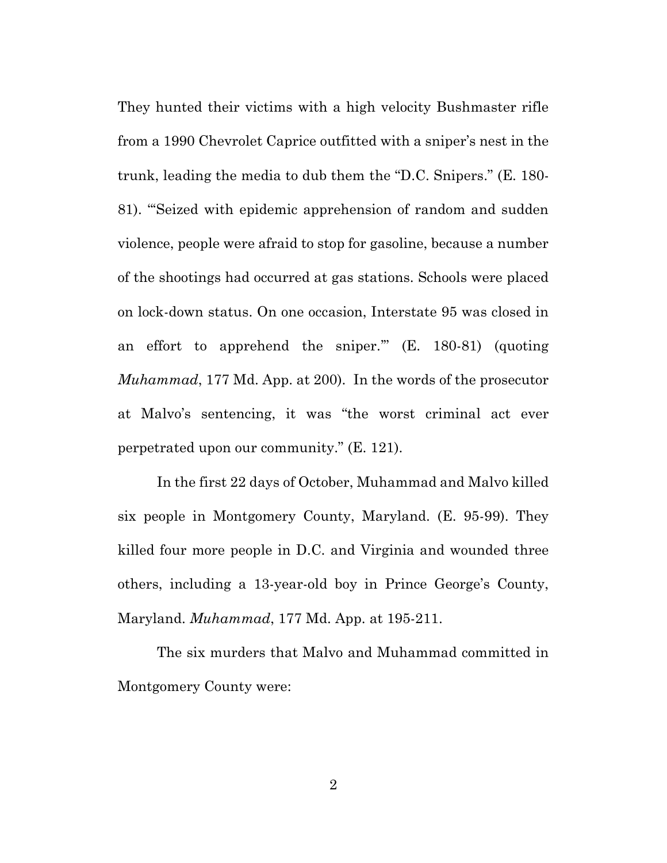They hunted their victims with a high velocity Bushmaster rifle from a 1990 Chevrolet Caprice outfitted with a sniper's nest in the trunk, leading the media to dub them the "D.C. Snipers." (E. 180- 81). "'Seized with epidemic apprehension of random and sudden violence, people were afraid to stop for gasoline, because a number of the shootings had occurred at gas stations. Schools were placed on lock-down status. On one occasion, Interstate 95 was closed in an effort to apprehend the sniper.'" (E. 180-81) (quoting *Muhammad*, 177 Md. App. at 200). In the words of the prosecutor at Malvo's sentencing, it was "the worst criminal act ever perpetrated upon our community." (E. 121).

In the first 22 days of October, Muhammad and Malvo killed six people in Montgomery County, Maryland. (E. 95-99). They killed four more people in D.C. and Virginia and wounded three others, including a 13-year-old boy in Prince George's County, Maryland. *Muhammad*, 177 Md. App. at 195-211.

The six murders that Malvo and Muhammad committed in Montgomery County were: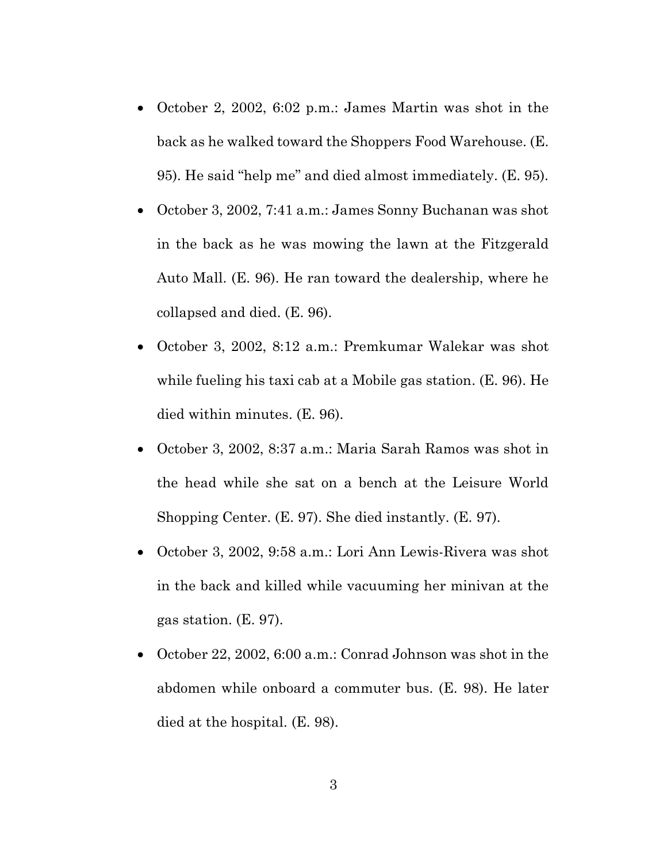- October 2, 2002, 6:02 p.m.: James Martin was shot in the back as he walked toward the Shoppers Food Warehouse. (E. 95). He said "help me" and died almost immediately. (E. 95).
- October 3, 2002, 7:41 a.m.: James Sonny Buchanan was shot in the back as he was mowing the lawn at the Fitzgerald Auto Mall. (E. 96). He ran toward the dealership, where he collapsed and died. (E. 96).
- October 3, 2002, 8:12 a.m.: Premkumar Walekar was shot while fueling his taxi cab at a Mobile gas station. (E. 96). He died within minutes. (E. 96).
- October 3, 2002, 8:37 a.m.: Maria Sarah Ramos was shot in the head while she sat on a bench at the Leisure World Shopping Center. (E. 97). She died instantly. (E. 97).
- October 3, 2002, 9:58 a.m.: Lori Ann Lewis-Rivera was shot in the back and killed while vacuuming her minivan at the gas station. (E. 97).
- October 22, 2002, 6:00 a.m.: Conrad Johnson was shot in the abdomen while onboard a commuter bus. (E. 98). He later died at the hospital. (E. 98).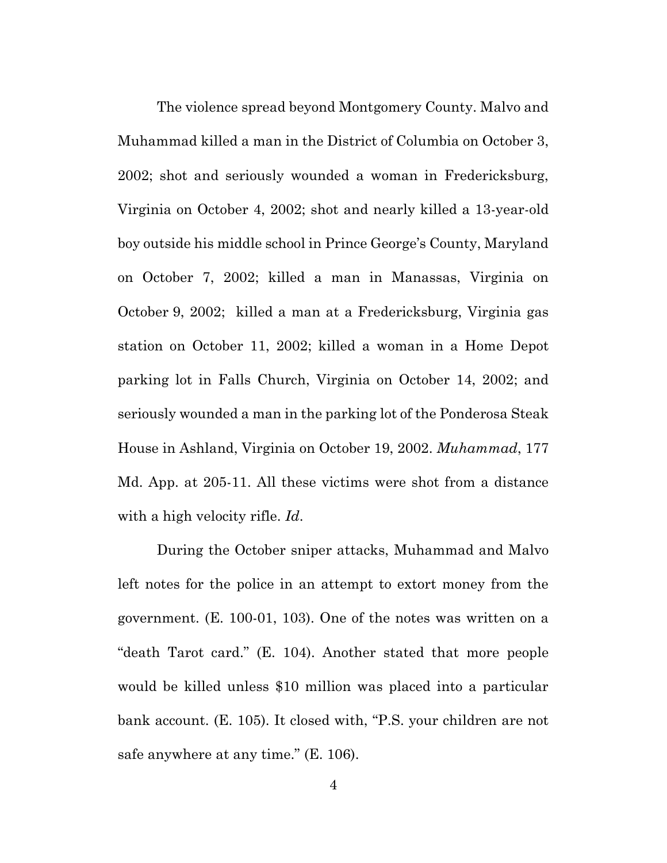The violence spread beyond Montgomery County. Malvo and Muhammad killed a man in the District of Columbia on October 3, 2002; shot and seriously wounded a woman in Fredericksburg, Virginia on October 4, 2002; shot and nearly killed a 13-year-old boy outside his middle school in Prince George's County, Maryland on October 7, 2002; killed a man in Manassas, Virginia on October 9, 2002; killed a man at a Fredericksburg, Virginia gas station on October 11, 2002; killed a woman in a Home Depot parking lot in Falls Church, Virginia on October 14, 2002; and seriously wounded a man in the parking lot of the Ponderosa Steak House in Ashland, Virginia on October 19, 2002. *Muhammad*, 177 Md. App. at 205-11. All these victims were shot from a distance with a high velocity rifle. *Id*.

During the October sniper attacks, Muhammad and Malvo left notes for the police in an attempt to extort money from the government. (E. 100-01, 103). One of the notes was written on a "death Tarot card." (E. 104). Another stated that more people would be killed unless \$10 million was placed into a particular bank account. (E. 105). It closed with, "P.S. your children are not safe anywhere at any time." (E. 106).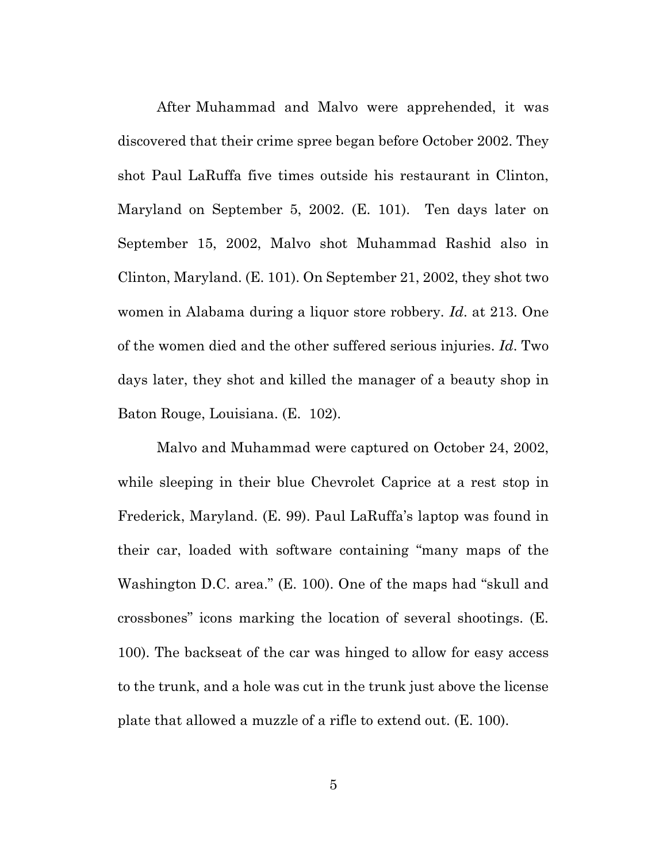After Muhammad and Malvo were apprehended, it was discovered that their crime spree began before October 2002. They shot Paul LaRuffa five times outside his restaurant in Clinton, Maryland on September 5, 2002. (E. 101). Ten days later on September 15, 2002, Malvo shot Muhammad Rashid also in Clinton, Maryland. (E. 101). On September 21, 2002, they shot two women in Alabama during a liquor store robbery. *Id*. at 213. One of the women died and the other suffered serious injuries. *Id*. Two days later, they shot and killed the manager of a beauty shop in Baton Rouge, Louisiana. (E. 102).

Malvo and Muhammad were captured on October 24, 2002, while sleeping in their blue Chevrolet Caprice at a rest stop in Frederick, Maryland. (E. 99). Paul LaRuffa's laptop was found in their car, loaded with software containing "many maps of the Washington D.C. area." (E. 100). One of the maps had "skull and crossbones" icons marking the location of several shootings. (E. 100). The backseat of the car was hinged to allow for easy access to the trunk, and a hole was cut in the trunk just above the license plate that allowed a muzzle of a rifle to extend out. (E. 100).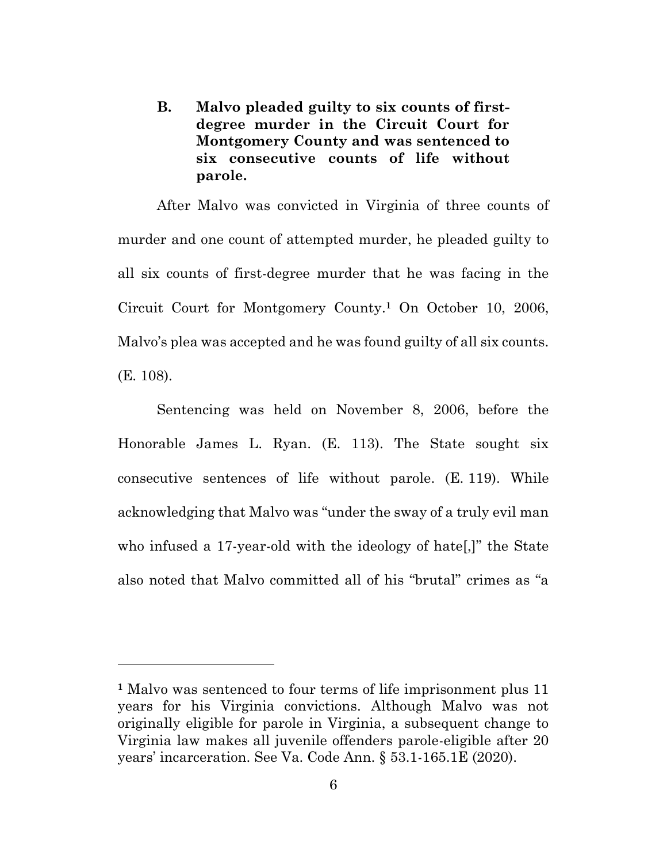**B. Malvo pleaded guilty to six counts of firstdegree murder in the Circuit Court for Montgomery County and was sentenced to six consecutive counts of life without parole.**

After Malvo was convicted in Virginia of three counts of murder and one count of attempted murder, he pleaded guilty to all six counts of first-degree murder that he was facing in the Circuit Court for Montgomery County.<sup>1</sup> On October 10, 2006, Malvo's plea was accepted and he was found guilty of all six counts. (E. 108).

Sentencing was held on November 8, 2006, before the Honorable James L. Ryan. (E. 113). The State sought six consecutive sentences of life without parole. (E. 119). While acknowledging that Malvo was "under the sway of a truly evil man who infused a 17-year-old with the ideology of hate[,]" the State also noted that Malvo committed all of his "brutal" crimes as "a

**<sup>1</sup>** Malvo was sentenced to four terms of life imprisonment plus 11 years for his Virginia convictions. Although Malvo was not originally eligible for parole in Virginia, a subsequent change to Virginia law makes all juvenile offenders parole-eligible after 20 years' incarceration. See Va. Code Ann. § 53.1-165.1E (2020).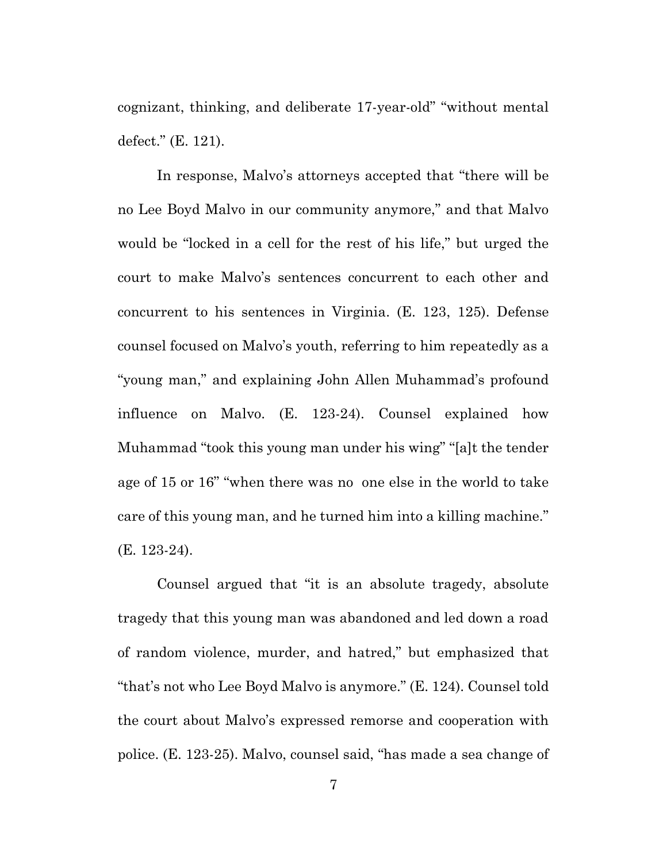cognizant, thinking, and deliberate 17-year-old" "without mental defect." (E. 121).

In response, Malvo's attorneys accepted that "there will be no Lee Boyd Malvo in our community anymore," and that Malvo would be "locked in a cell for the rest of his life," but urged the court to make Malvo's sentences concurrent to each other and concurrent to his sentences in Virginia. (E. 123, 125). Defense counsel focused on Malvo's youth, referring to him repeatedly as a "young man," and explaining John Allen Muhammad's profound influence on Malvo. (E. 123-24). Counsel explained how Muhammad "took this young man under his wing" "[a]t the tender age of 15 or 16" "when there was no one else in the world to take care of this young man, and he turned him into a killing machine." (E. 123-24).

Counsel argued that "it is an absolute tragedy, absolute tragedy that this young man was abandoned and led down a road of random violence, murder, and hatred," but emphasized that "that's not who Lee Boyd Malvo is anymore." (E. 124). Counsel told the court about Malvo's expressed remorse and cooperation with police. (E. 123-25). Malvo, counsel said, "has made a sea change of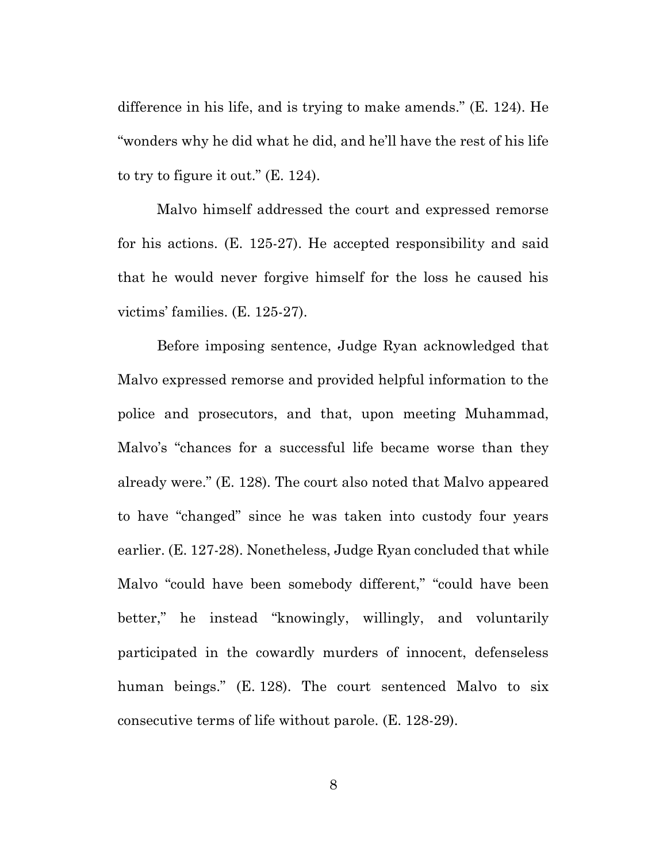difference in his life, and is trying to make amends." (E. 124). He "wonders why he did what he did, and he'll have the rest of his life to try to figure it out." (E. 124).

Malvo himself addressed the court and expressed remorse for his actions. (E. 125-27). He accepted responsibility and said that he would never forgive himself for the loss he caused his victims' families. (E. 125-27).

Before imposing sentence, Judge Ryan acknowledged that Malvo expressed remorse and provided helpful information to the police and prosecutors, and that, upon meeting Muhammad, Malvo's "chances for a successful life became worse than they already were." (E. 128). The court also noted that Malvo appeared to have "changed" since he was taken into custody four years earlier. (E. 127-28). Nonetheless, Judge Ryan concluded that while Malvo "could have been somebody different," "could have been better," he instead "knowingly, willingly, and voluntarily participated in the cowardly murders of innocent, defenseless human beings." (E. 128). The court sentenced Malvo to six consecutive terms of life without parole. (E. 128-29).

8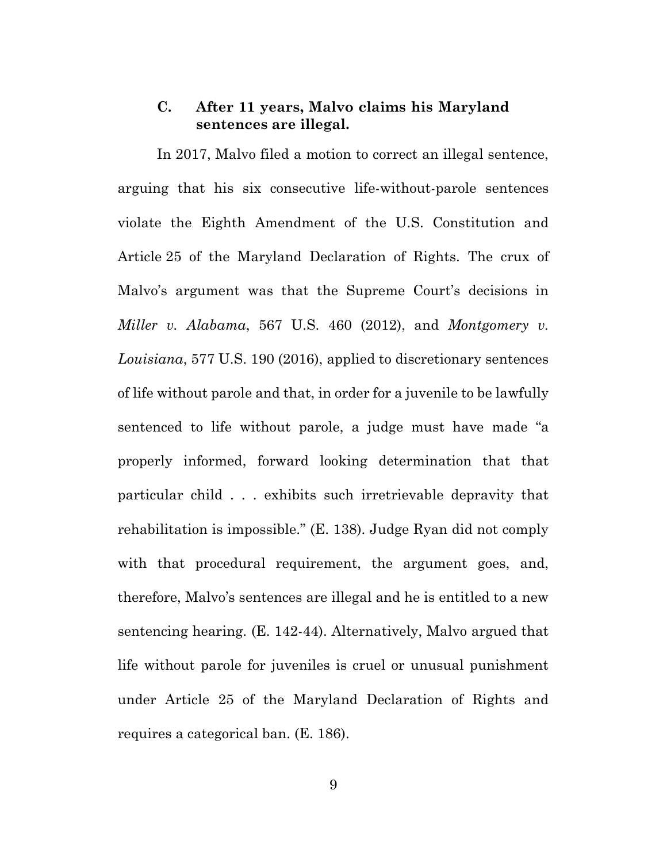#### **C. After 11 years, Malvo claims his Maryland sentences are illegal.**

In 2017, Malvo filed a motion to correct an illegal sentence, arguing that his six consecutive life-without-parole sentences violate the Eighth Amendment of the U.S. Constitution and Article 25 of the Maryland Declaration of Rights. The crux of Malvo's argument was that the Supreme Court's decisions in *Miller v. Alabama*, 567 U.S. 460 (2012), and *Montgomery v. Louisiana*, 577 U.S. 190 (2016), applied to discretionary sentences of life without parole and that, in order for a juvenile to be lawfully sentenced to life without parole, a judge must have made "a properly informed, forward looking determination that that particular child . . . exhibits such irretrievable depravity that rehabilitation is impossible." (E. 138). Judge Ryan did not comply with that procedural requirement, the argument goes, and, therefore, Malvo's sentences are illegal and he is entitled to a new sentencing hearing. (E. 142-44). Alternatively, Malvo argued that life without parole for juveniles is cruel or unusual punishment under Article 25 of the Maryland Declaration of Rights and requires a categorical ban. (E. 186).

9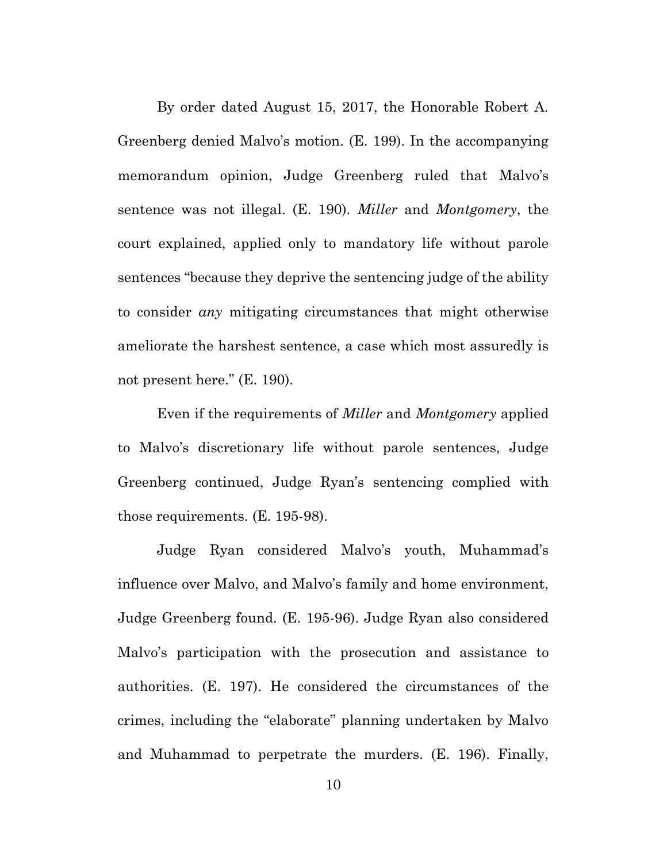By order dated August 15, 2017, the Honorable Robert A. Greenberg denied Malvo's motion. (E. 199). In the accompanying memorandum opinion, Judge Greenberg ruled that Malvo's sentence was not illegal. (E. 190). *Miller* and *Montgomery*, the court explained, applied only to mandatory life without parole sentences "because they deprive the sentencing judge of the ability to consider *any* mitigating circumstances that might otherwise ameliorate the harshest sentence, a case which most assuredly is not present here." (E. 190).

Even if the requirements of *Miller* and *Montgomery* applied to Malvo's discretionary life without parole sentences, Judge Greenberg continued, Judge Ryan's sentencing complied with those requirements. (E. 195-98).

Judge Ryan considered Malvo's youth, Muhammad's influence over Malvo, and Malvo's family and home environment, Judge Greenberg found. (E. 195-96). Judge Ryan also considered Malvo's participation with the prosecution and assistance to authorities. (E. 197). He considered the circumstances of the crimes, including the "elaborate" planning undertaken by Malvo and Muhammad to perpetrate the murders. (E. 196). Finally,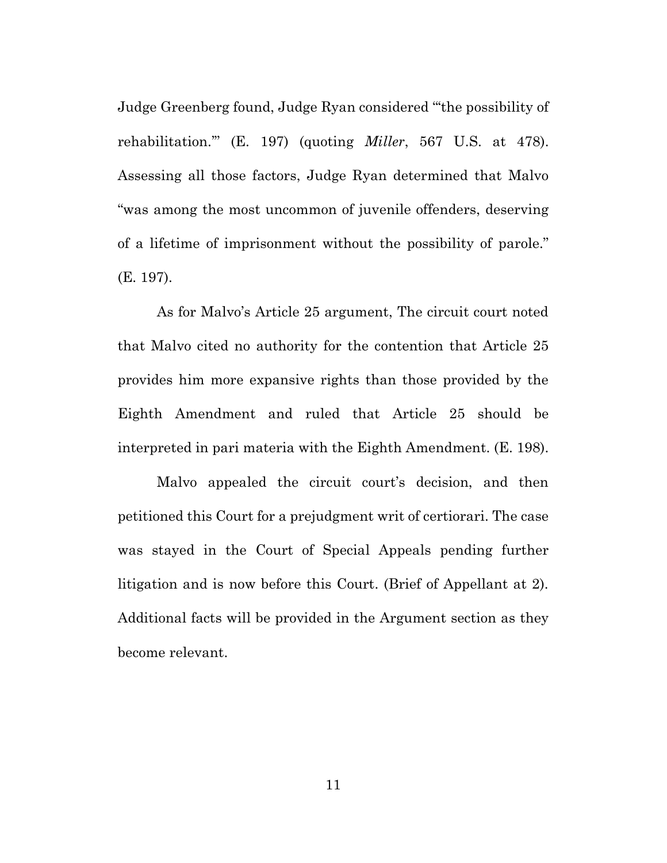Judge Greenberg found, Judge Ryan considered "'the possibility of rehabilitation.'" (E. 197) (quoting *Miller*, 567 U.S. at 478). Assessing all those factors, Judge Ryan determined that Malvo "was among the most uncommon of juvenile offenders, deserving of a lifetime of imprisonment without the possibility of parole." (E. 197).

As for Malvo's Article 25 argument, The circuit court noted that Malvo cited no authority for the contention that Article 25 provides him more expansive rights than those provided by the Eighth Amendment and ruled that Article 25 should be interpreted in pari materia with the Eighth Amendment. (E. 198).

Malvo appealed the circuit court's decision, and then petitioned this Court for a prejudgment writ of certiorari. The case was stayed in the Court of Special Appeals pending further litigation and is now before this Court. (Brief of Appellant at 2). Additional facts will be provided in the Argument section as they become relevant.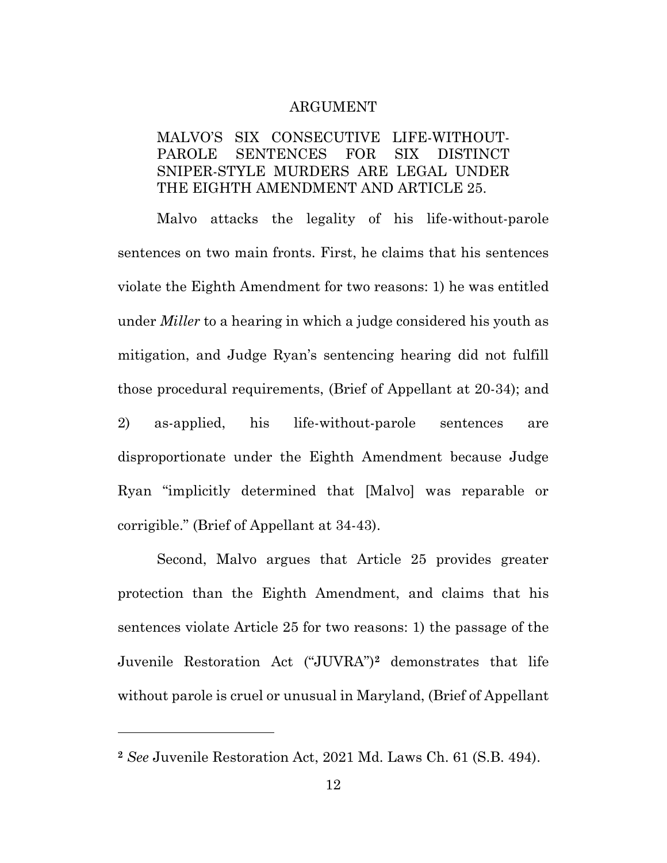#### ARGUMENT

### MALVO'S SIX CONSECUTIVE LIFE-WITHOUT-PAROLE SENTENCES FOR SIX DISTINCT SNIPER-STYLE MURDERS ARE LEGAL UNDER THE EIGHTH AMENDMENT AND ARTICLE 25.

Malvo attacks the legality of his life-without-parole sentences on two main fronts. First, he claims that his sentences violate the Eighth Amendment for two reasons: 1) he was entitled under *Miller* to a hearing in which a judge considered his youth as mitigation, and Judge Ryan's sentencing hearing did not fulfill those procedural requirements, (Brief of Appellant at 20-34); and 2) as-applied, his life-without-parole sentences are disproportionate under the Eighth Amendment because Judge Ryan "implicitly determined that [Malvo] was reparable or corrigible." (Brief of Appellant at 34-43).

Second, Malvo argues that Article 25 provides greater protection than the Eighth Amendment, and claims that his sentences violate Article 25 for two reasons: 1) the passage of the Juvenile Restoration Act ("JUVRA")**<sup>2</sup>** demonstrates that life without parole is cruel or unusual in Maryland, (Brief of Appellant

**<sup>2</sup>** *See* Juvenile Restoration Act, 2021 Md. Laws Ch. 61 (S.B. 494).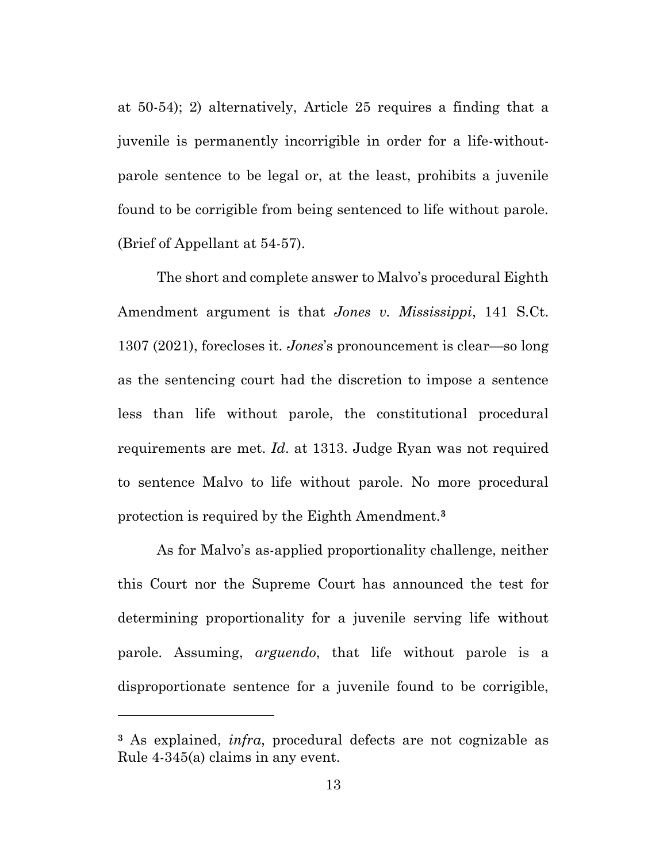at 50-54); 2) alternatively, Article 25 requires a finding that a juvenile is permanently incorrigible in order for a life-withoutparole sentence to be legal or, at the least, prohibits a juvenile found to be corrigible from being sentenced to life without parole. (Brief of Appellant at 54-57).

The short and complete answer to Malvo's procedural Eighth Amendment argument is that *Jones v. Mississippi*, 141 S.Ct. 1307 (2021), forecloses it. *Jones*'s pronouncement is clear—so long as the sentencing court had the discretion to impose a sentence less than life without parole, the constitutional procedural requirements are met. *Id*. at 1313. Judge Ryan was not required to sentence Malvo to life without parole. No more procedural protection is required by the Eighth Amendment.**<sup>3</sup>**

As for Malvo's as-applied proportionality challenge, neither this Court nor the Supreme Court has announced the test for determining proportionality for a juvenile serving life without parole. Assuming, *arguendo*, that life without parole is a disproportionate sentence for a juvenile found to be corrigible,

**<sup>3</sup>** As explained, *infra*, procedural defects are not cognizable as Rule 4-345(a) claims in any event.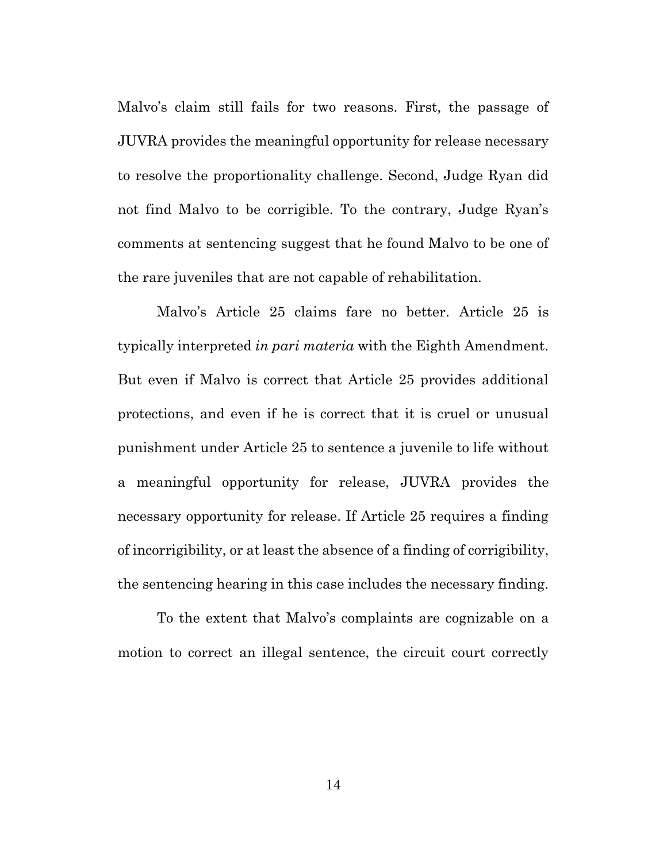Malvo's claim still fails for two reasons. First, the passage of JUVRA provides the meaningful opportunity for release necessary to resolve the proportionality challenge. Second, Judge Ryan did not find Malvo to be corrigible. To the contrary, Judge Ryan's comments at sentencing suggest that he found Malvo to be one of the rare juveniles that are not capable of rehabilitation.

Malvo's Article 25 claims fare no better. Article 25 is typically interpreted *in pari materia* with the Eighth Amendment. But even if Malvo is correct that Article 25 provides additional protections, and even if he is correct that it is cruel or unusual punishment under Article 25 to sentence a juvenile to life without a meaningful opportunity for release, JUVRA provides the necessary opportunity for release. If Article 25 requires a finding of incorrigibility, or at least the absence of a finding of corrigibility, the sentencing hearing in this case includes the necessary finding.

To the extent that Malvo's complaints are cognizable on a motion to correct an illegal sentence, the circuit court correctly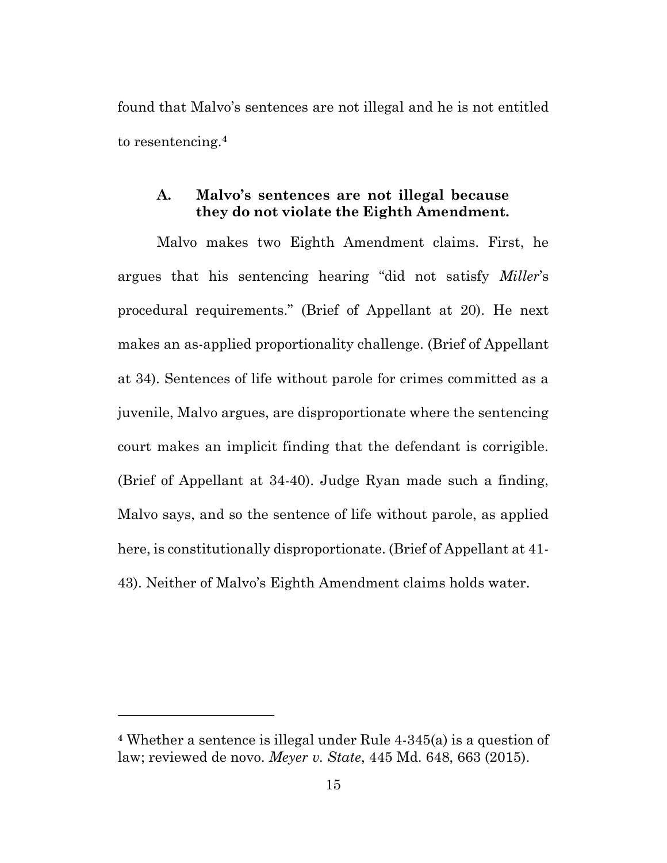found that Malvo's sentences are not illegal and he is not entitled to resentencing.**<sup>4</sup>**

### **A. Malvo's sentences are not illegal because they do not violate the Eighth Amendment.**

Malvo makes two Eighth Amendment claims. First, he argues that his sentencing hearing "did not satisfy *Miller*'s procedural requirements." (Brief of Appellant at 20). He next makes an as-applied proportionality challenge. (Brief of Appellant at 34). Sentences of life without parole for crimes committed as a juvenile, Malvo argues, are disproportionate where the sentencing court makes an implicit finding that the defendant is corrigible. (Brief of Appellant at 34-40). Judge Ryan made such a finding, Malvo says, and so the sentence of life without parole, as applied here, is constitutionally disproportionate. (Brief of Appellant at 41- 43). Neither of Malvo's Eighth Amendment claims holds water.

**<sup>4</sup>** Whether a sentence is illegal under Rule 4-345(a) is a question of law; reviewed de novo. *Meyer v. State*, 445 Md. 648, 663 (2015).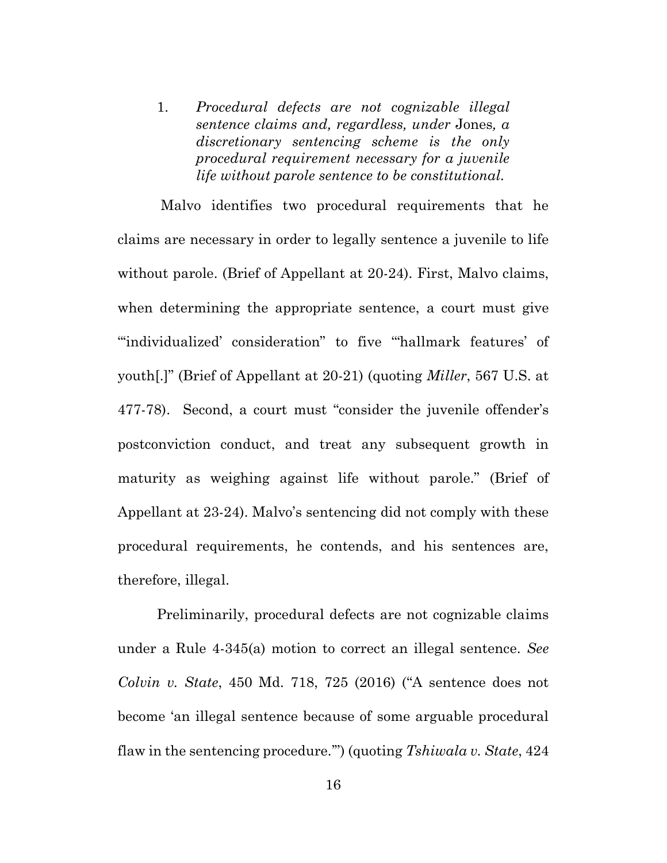1. *Procedural defects are not cognizable illegal sentence claims and, regardless, under* Jones*, a discretionary sentencing scheme is the only procedural requirement necessary for a juvenile life without parole sentence to be constitutional.*

Malvo identifies two procedural requirements that he claims are necessary in order to legally sentence a juvenile to life without parole. (Brief of Appellant at 20-24). First, Malvo claims, when determining the appropriate sentence, a court must give "individualized' consideration" to five "hallmark features' of youth[.]" (Brief of Appellant at 20-21) (quoting *Miller*, 567 U.S. at 477-78). Second, a court must "consider the juvenile offender's postconviction conduct, and treat any subsequent growth in maturity as weighing against life without parole." (Brief of Appellant at 23-24). Malvo's sentencing did not comply with these procedural requirements, he contends, and his sentences are, therefore, illegal.

Preliminarily, procedural defects are not cognizable claims under a Rule 4-345(a) motion to correct an illegal sentence. *See Colvin v. State*, 450 Md. 718, 725 (2016) ("A sentence does not become 'an illegal sentence because of some arguable procedural flaw in the sentencing procedure.'") (quoting *Tshiwala v. State*, 424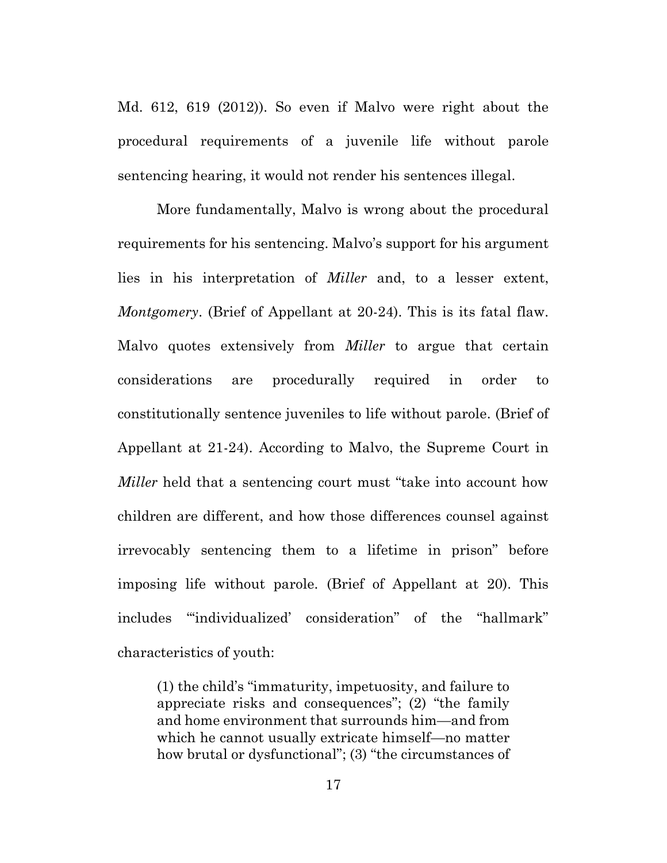Md. 612, 619 (2012)). So even if Malvo were right about the procedural requirements of a juvenile life without parole sentencing hearing, it would not render his sentences illegal.

More fundamentally, Malvo is wrong about the procedural requirements for his sentencing. Malvo's support for his argument lies in his interpretation of *Miller* and, to a lesser extent, *Montgomery*. (Brief of Appellant at 20-24). This is its fatal flaw. Malvo quotes extensively from *Miller* to argue that certain considerations are procedurally required in order to constitutionally sentence juveniles to life without parole. (Brief of Appellant at 21-24). According to Malvo, the Supreme Court in *Miller* held that a sentencing court must "take into account how children are different, and how those differences counsel against irrevocably sentencing them to a lifetime in prison" before imposing life without parole. (Brief of Appellant at 20). This includes "'individualized' consideration" of the "hallmark" characteristics of youth:

(1) the child's "immaturity, impetuosity, and failure to appreciate risks and consequences"; (2) "the family and home environment that surrounds him—and from which he cannot usually extricate himself—no matter how brutal or dysfunctional"; (3) "the circumstances of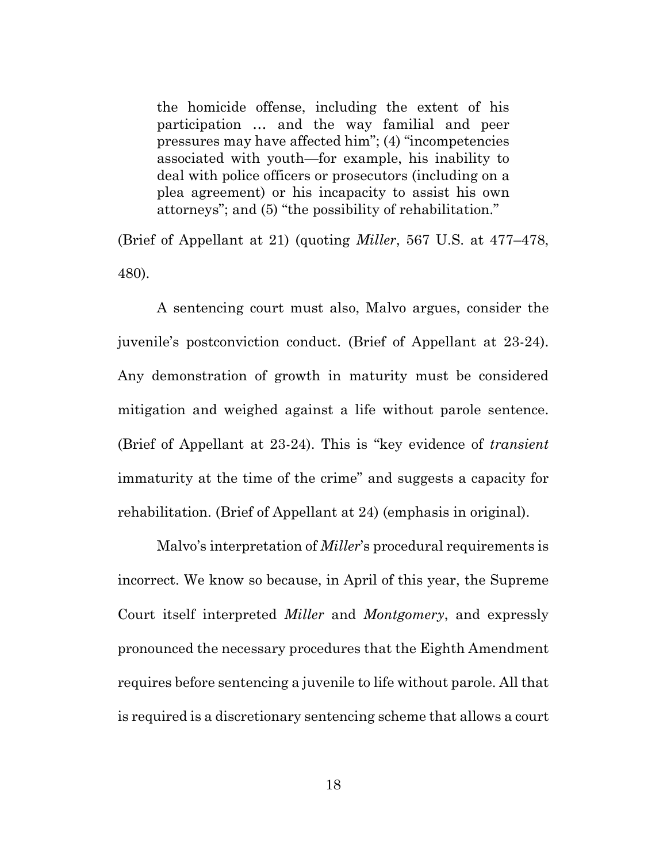the homicide offense, including the extent of his participation … and the way familial and peer pressures may have affected him"; (4) "incompetencies associated with youth—for example, his inability to deal with police officers or prosecutors (including on a plea agreement) or his incapacity to assist his own attorneys"; and (5) "the possibility of rehabilitation."

(Brief of Appellant at 21) (quoting *Miller*, 567 U.S. at 477–478, 480).

A sentencing court must also, Malvo argues, consider the juvenile's postconviction conduct. (Brief of Appellant at 23-24). Any demonstration of growth in maturity must be considered mitigation and weighed against a life without parole sentence. (Brief of Appellant at 23-24). This is "key evidence of *transient* immaturity at the time of the crime" and suggests a capacity for rehabilitation. (Brief of Appellant at 24) (emphasis in original).

Malvo's interpretation of *Miller*'s procedural requirements is incorrect. We know so because, in April of this year, the Supreme Court itself interpreted *Miller* and *Montgomery*, and expressly pronounced the necessary procedures that the Eighth Amendment requires before sentencing a juvenile to life without parole. All that is required is a discretionary sentencing scheme that allows a court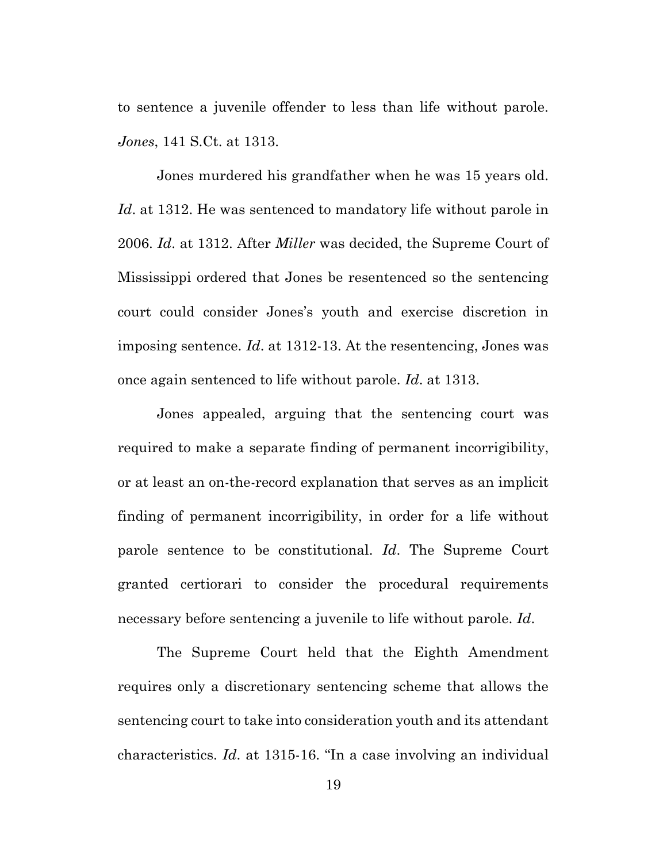to sentence a juvenile offender to less than life without parole. *Jones*, 141 S.Ct. at 1313.

Jones murdered his grandfather when he was 15 years old. *Id*. at 1312. He was sentenced to mandatory life without parole in 2006. *Id*. at 1312. After *Miller* was decided, the Supreme Court of Mississippi ordered that Jones be resentenced so the sentencing court could consider Jones's youth and exercise discretion in imposing sentence. *Id*. at 1312-13. At the resentencing, Jones was once again sentenced to life without parole. *Id*. at 1313.

Jones appealed, arguing that the sentencing court was required to make a separate finding of permanent incorrigibility, or at least an on-the-record explanation that serves as an implicit finding of permanent incorrigibility, in order for a life without parole sentence to be constitutional. *Id*. The Supreme Court granted certiorari to consider the procedural requirements necessary before sentencing a juvenile to life without parole. *Id*.

The Supreme Court held that the Eighth Amendment requires only a discretionary sentencing scheme that allows the sentencing court to take into consideration youth and its attendant characteristics. *Id*. at 1315-16. "In a case involving an individual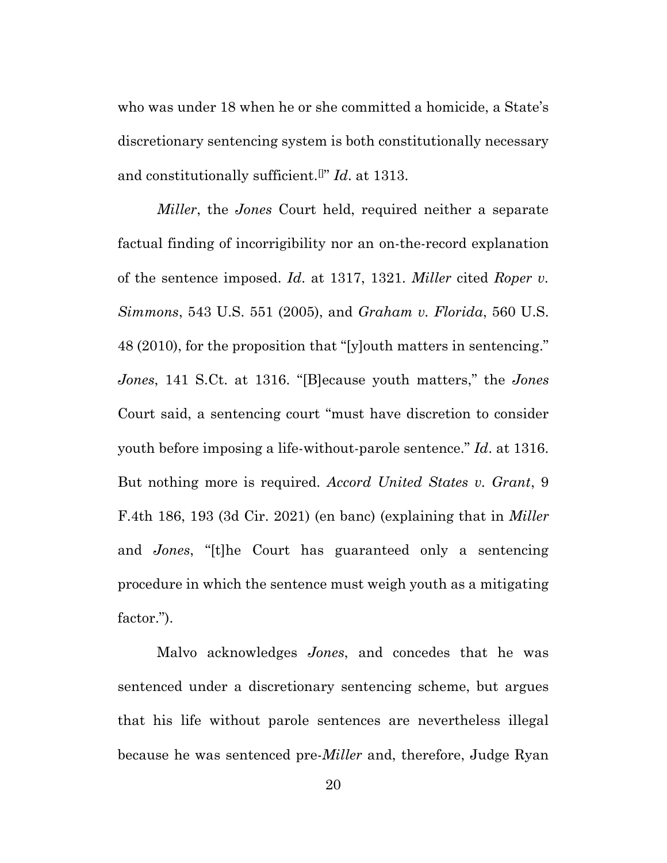who was under 18 when he or she committed a homicide, a State's discretionary sentencing system is both constitutionally necessary and constitutionally sufficient.[]" *Id*. at 1313.

*Miller*, the *Jones* Court held, required neither a separate factual finding of incorrigibility nor an on-the-record explanation of the sentence imposed. *Id*. at 1317, 1321. *Miller* cited *Roper v. Simmons*, 543 U.S. 551 (2005), and *Graham v. Florida*, 560 U.S. 48 (2010), for the proposition that "[y]outh matters in sentencing." *Jones*, 141 S.Ct. at 1316. "[B]ecause youth matters," the *Jones* Court said, a sentencing court "must have discretion to consider youth before imposing a life-without-parole sentence." *Id*. at 1316. But nothing more is required. *Accord United States v. Grant*, 9 F.4th 186, 193 (3d Cir. 2021) (en banc) (explaining that in *Miller*  and *Jones*, "[t]he Court has guaranteed only a sentencing procedure in which the sentence must weigh youth as a mitigating factor.").

Malvo acknowledges *Jones*, and concedes that he was sentenced under a discretionary sentencing scheme, but argues that his life without parole sentences are nevertheless illegal because he was sentenced pre-*Miller* and, therefore, Judge Ryan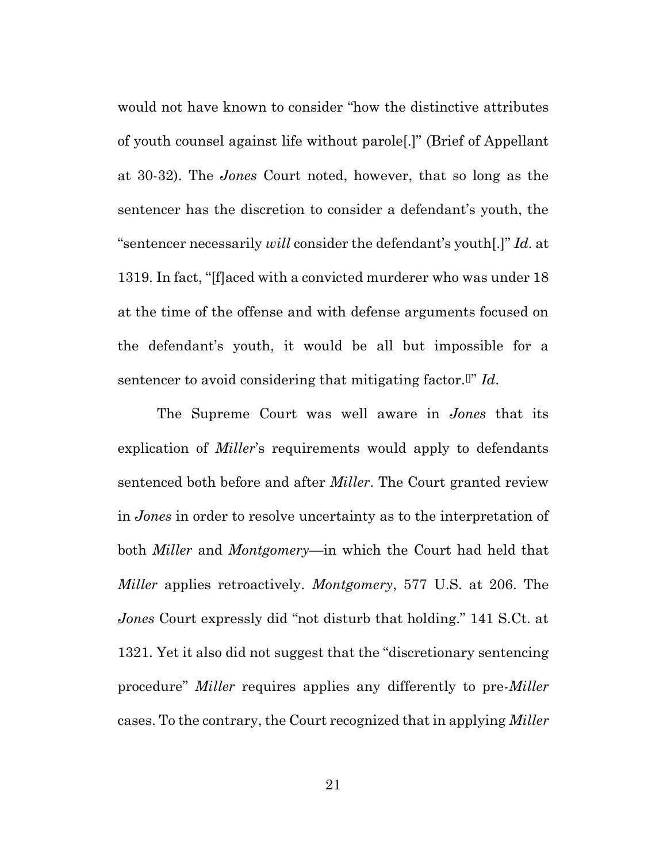would not have known to consider "how the distinctive attributes of youth counsel against life without parole[.]" (Brief of Appellant at 30-32). The *Jones* Court noted, however, that so long as the sentencer has the discretion to consider a defendant's youth, the "sentencer necessarily *will* consider the defendant's youth[.]" *Id*. at 1319. In fact, "[f]aced with a convicted murderer who was under 18 at the time of the offense and with defense arguments focused on the defendant's youth, it would be all but impossible for a sentencer to avoid considering that mitigating factor.[]" *Id*.

The Supreme Court was well aware in *Jones* that its explication of *Miller*'s requirements would apply to defendants sentenced both before and after *Miller*. The Court granted review in *Jones* in order to resolve uncertainty as to the interpretation of both *Miller* and *Montgomery*—in which the Court had held that *Miller* applies retroactively. *Montgomery*, 577 U.S. at 206. The *Jones* Court expressly did "not disturb that holding." 141 S.Ct. at 1321. Yet it also did not suggest that the "discretionary sentencing procedure" *Miller* requires applies any differently to pre-*Miller* cases. To the contrary, the Court recognized that in applying *Miller*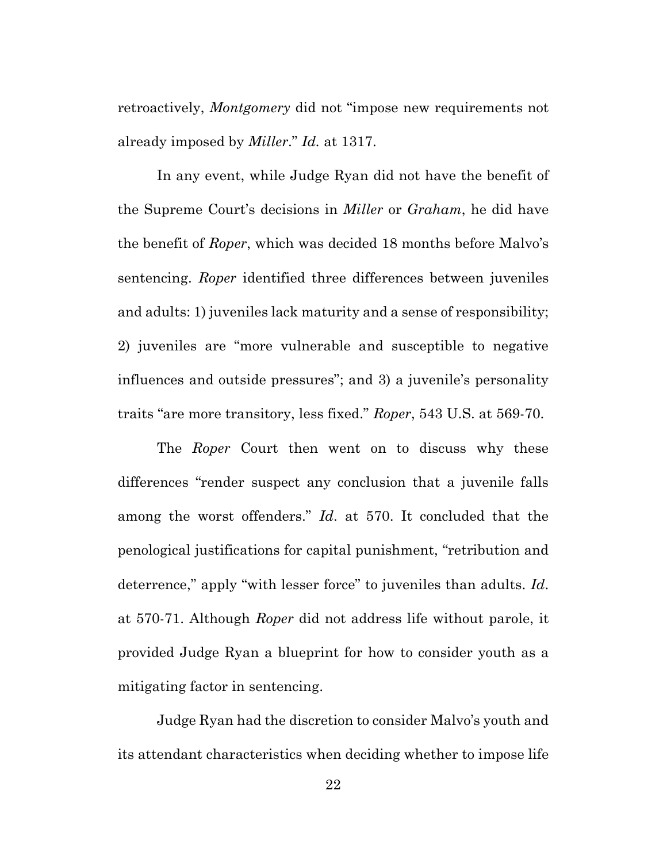retroactively, *Montgomery* did not "impose new requirements not already imposed by *Miller*." *Id.* at 1317.

In any event, while Judge Ryan did not have the benefit of the Supreme Court's decisions in *Miller* or *Graham*, he did have the benefit of *Roper*, which was decided 18 months before Malvo's sentencing. *Roper* identified three differences between juveniles and adults: 1) juveniles lack maturity and a sense of responsibility; 2) juveniles are "more vulnerable and susceptible to negative influences and outside pressures"; and 3) a juvenile's personality traits "are more transitory, less fixed." *Roper*, 543 U.S. at 569-70.

The *Roper* Court then went on to discuss why these differences "render suspect any conclusion that a juvenile falls among the worst offenders." *Id*. at 570. It concluded that the penological justifications for capital punishment, "retribution and deterrence," apply "with lesser force" to juveniles than adults. *Id*. at 570-71. Although *Roper* did not address life without parole, it provided Judge Ryan a blueprint for how to consider youth as a mitigating factor in sentencing.

Judge Ryan had the discretion to consider Malvo's youth and its attendant characteristics when deciding whether to impose life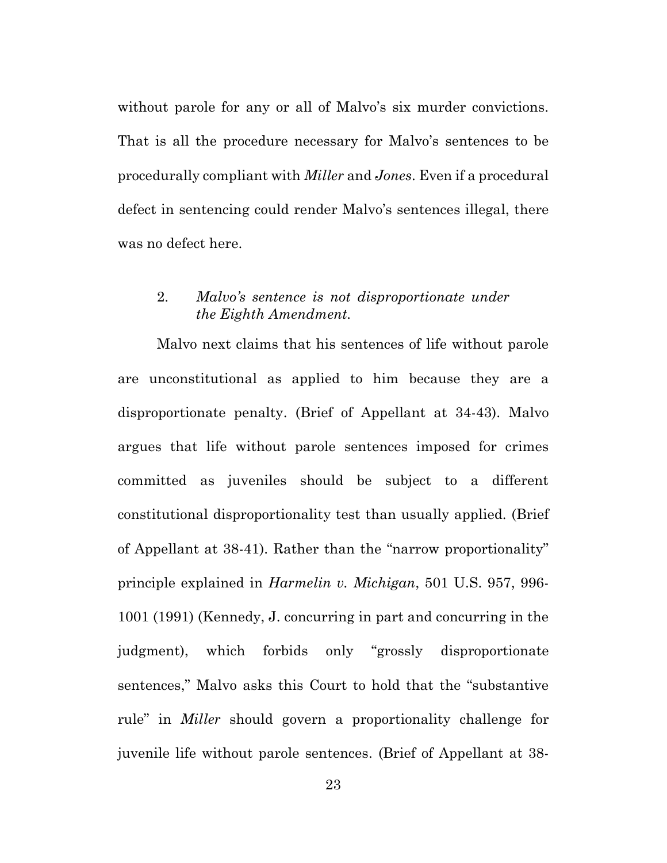without parole for any or all of Malvo's six murder convictions. That is all the procedure necessary for Malvo's sentences to be procedurally compliant with *Miller* and *Jones*. Even if a procedural defect in sentencing could render Malvo's sentences illegal, there was no defect here.

#### 2. *Malvo's sentence is not disproportionate under the Eighth Amendment.*

Malvo next claims that his sentences of life without parole are unconstitutional as applied to him because they are a disproportionate penalty. (Brief of Appellant at 34-43). Malvo argues that life without parole sentences imposed for crimes committed as juveniles should be subject to a different constitutional disproportionality test than usually applied. (Brief of Appellant at 38-41). Rather than the "narrow proportionality" principle explained in *Harmelin v. Michigan*, 501 U.S. 957, 996- 1001 (1991) (Kennedy, J. concurring in part and concurring in the judgment), which forbids only "grossly disproportionate sentences," Malvo asks this Court to hold that the "substantive rule" in *Miller* should govern a proportionality challenge for juvenile life without parole sentences. (Brief of Appellant at 38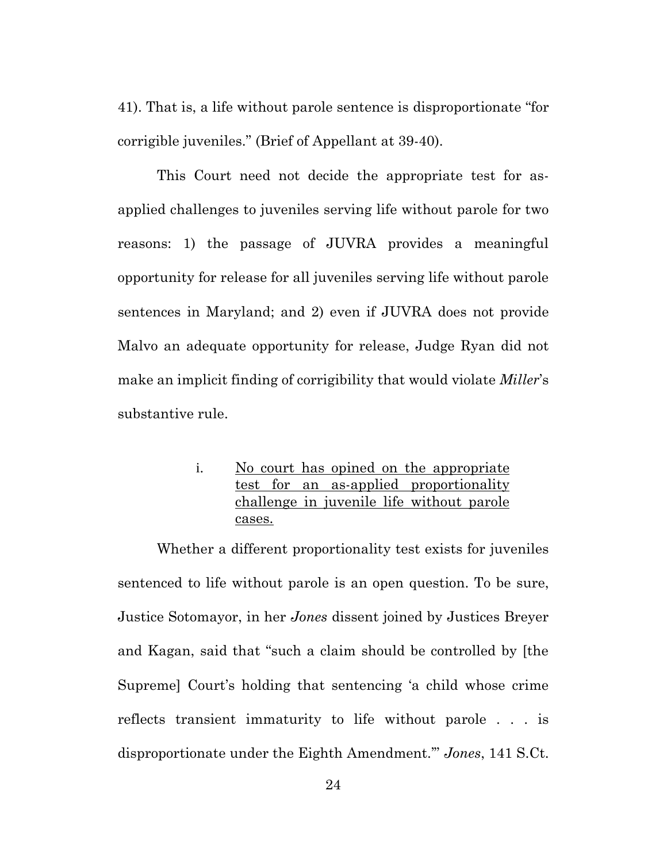41). That is, a life without parole sentence is disproportionate "for corrigible juveniles." (Brief of Appellant at 39-40).

This Court need not decide the appropriate test for asapplied challenges to juveniles serving life without parole for two reasons: 1) the passage of JUVRA provides a meaningful opportunity for release for all juveniles serving life without parole sentences in Maryland; and 2) even if JUVRA does not provide Malvo an adequate opportunity for release, Judge Ryan did not make an implicit finding of corrigibility that would violate *Miller*'s substantive rule.

> i. No court has opined on the appropriate test for an as-applied proportionality challenge in juvenile life without parole cases.

Whether a different proportionality test exists for juveniles sentenced to life without parole is an open question. To be sure, Justice Sotomayor, in her *Jones* dissent joined by Justices Breyer and Kagan, said that "such a claim should be controlled by [the Supreme] Court's holding that sentencing 'a child whose crime reflects transient immaturity to life without parole . . . is disproportionate under the Eighth Amendment.'" *Jones*, 141 S.Ct.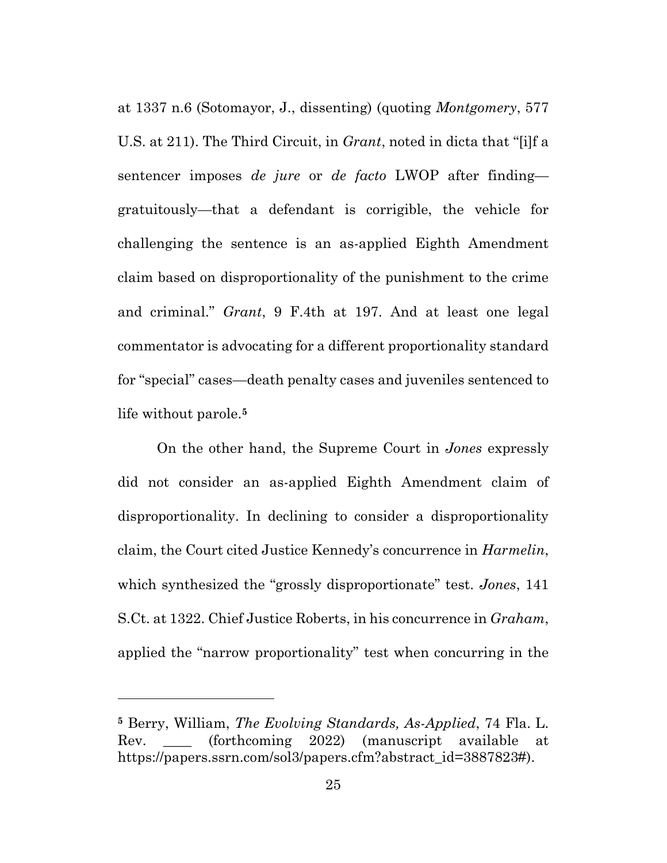at 1337 n.6 (Sotomayor, J., dissenting) (quoting *Montgomery*, 577 U.S. at 211). The Third Circuit, in *Grant*, noted in dicta that "[i]f a sentencer imposes *de jure* or *de facto* LWOP after finding gratuitously—that a defendant is corrigible, the vehicle for challenging the sentence is an as-applied Eighth Amendment claim based on disproportionality of the punishment to the crime and criminal." *Grant*, 9 F.4th at 197. And at least one legal commentator is advocating for a different proportionality standard for "special" cases—death penalty cases and juveniles sentenced to life without parole.**<sup>5</sup>**

On the other hand, the Supreme Court in *Jones* expressly did not consider an as-applied Eighth Amendment claim of disproportionality. In declining to consider a disproportionality claim, the Court cited Justice Kennedy's concurrence in *Harmelin*, which synthesized the "grossly disproportionate" test. *Jones*, 141 S.Ct. at 1322. Chief Justice Roberts, in his concurrence in *Graham*, applied the "narrow proportionality" test when concurring in the

**<sup>5</sup>** Berry, William, *The Evolving Standards, As-Applied*, 74 Fla. L. Rev. \_\_\_\_ (forthcoming 2022) (manuscript available at https://papers.ssrn.com/sol3/papers.cfm?abstract\_id=3887823#).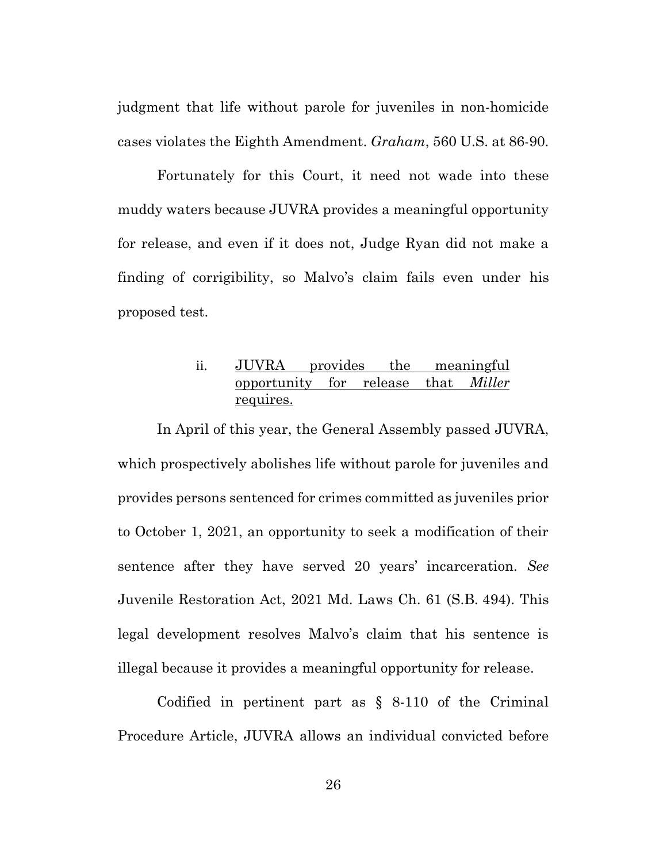judgment that life without parole for juveniles in non-homicide cases violates the Eighth Amendment. *Graham*, 560 U.S. at 86-90.

Fortunately for this Court, it need not wade into these muddy waters because JUVRA provides a meaningful opportunity for release, and even if it does not, Judge Ryan did not make a finding of corrigibility, so Malvo's claim fails even under his proposed test.

### ii. JUVRA provides the meaningful opportunity for release that *Miller* requires.

In April of this year, the General Assembly passed JUVRA, which prospectively abolishes life without parole for juveniles and provides persons sentenced for crimes committed as juveniles prior to October 1, 2021, an opportunity to seek a modification of their sentence after they have served 20 years' incarceration. *See*  Juvenile Restoration Act, 2021 Md. Laws Ch. 61 (S.B. 494). This legal development resolves Malvo's claim that his sentence is illegal because it provides a meaningful opportunity for release.

Codified in pertinent part as  $\S$  8-110 of the Criminal Procedure Article, JUVRA allows an individual convicted before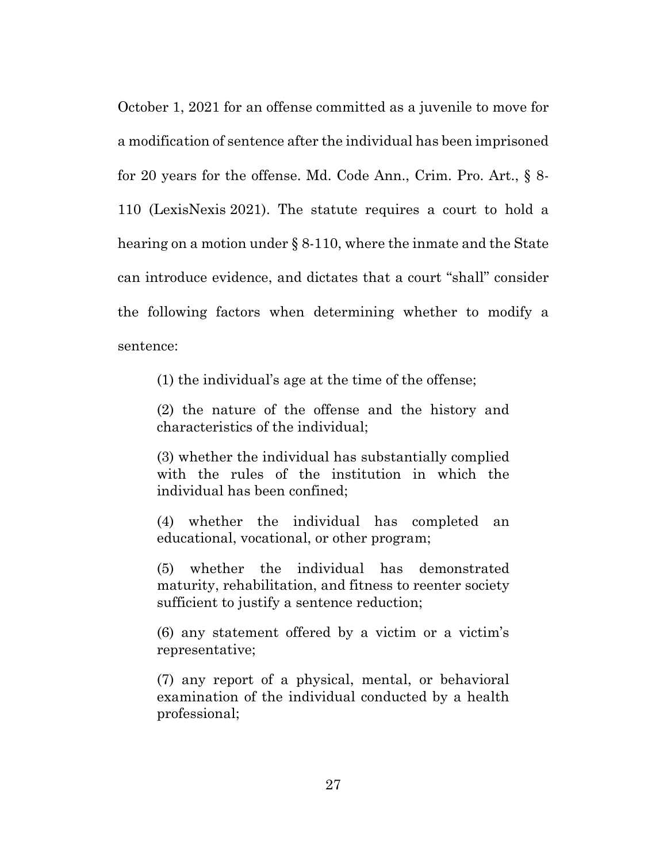October 1, 2021 for an offense committed as a juvenile to move for a modification of sentence after the individual has been imprisoned for 20 years for the offense. Md. Code Ann., Crim. Pro. Art., § 8- 110 (LexisNexis 2021). The statute requires a court to hold a hearing on a motion under § 8-110, where the inmate and the State can introduce evidence, and dictates that a court "shall" consider the following factors when determining whether to modify a sentence:

(1) the individual's age at the time of the offense;

(2) the nature of the offense and the history and characteristics of the individual;

(3) whether the individual has substantially complied with the rules of the institution in which the individual has been confined;

(4) whether the individual has completed an educational, vocational, or other program;

(5) whether the individual has demonstrated maturity, rehabilitation, and fitness to reenter society sufficient to justify a sentence reduction;

(6) any statement offered by a victim or a victim's representative;

(7) any report of a physical, mental, or behavioral examination of the individual conducted by a health professional;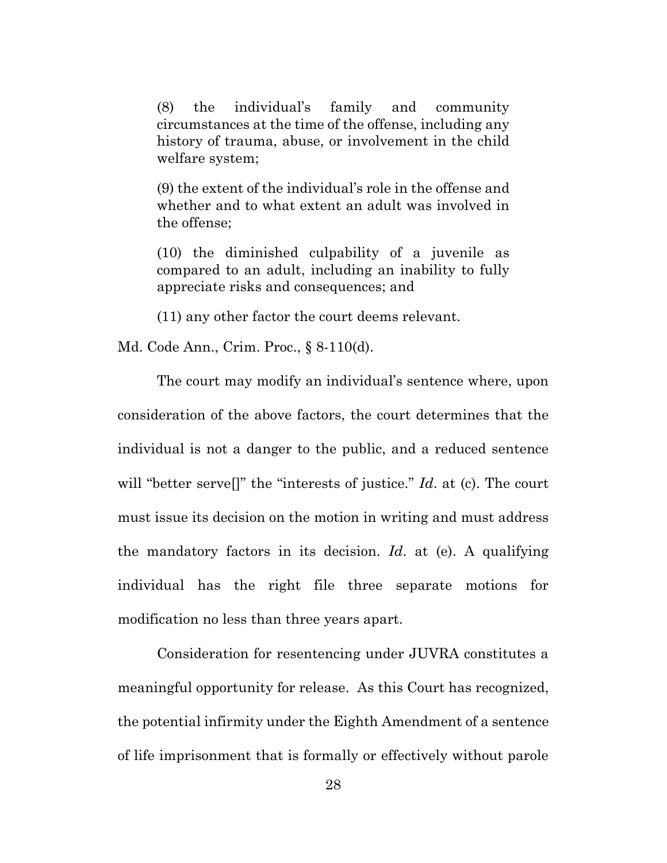(8) the individual's family and community circumstances at the time of the offense, including any history of trauma, abuse, or involvement in the child welfare system;

(9) the extent of the individual's role in the offense and whether and to what extent an adult was involved in the offense;

(10) the diminished culpability of a juvenile as compared to an adult, including an inability to fully appreciate risks and consequences; and

(11) any other factor the court deems relevant.

Md. Code Ann., Crim. Proc., § 8-110(d).

The court may modify an individual's sentence where, upon consideration of the above factors, the court determines that the individual is not a danger to the public, and a reduced sentence will "better serve[]" the "interests of justice." *Id*. at (c). The court must issue its decision on the motion in writing and must address the mandatory factors in its decision. *Id*. at (e). A qualifying individual has the right file three separate motions for modification no less than three years apart.

Consideration for resentencing under JUVRA constitutes a meaningful opportunity for release. As this Court has recognized, the potential infirmity under the Eighth Amendment of a sentence of life imprisonment that is formally or effectively without parole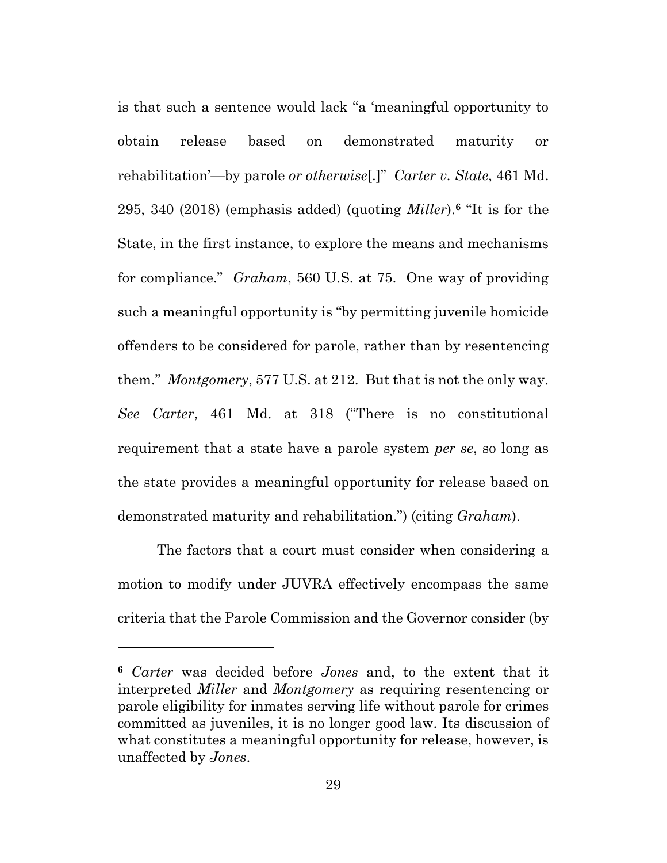is that such a sentence would lack "a 'meaningful opportunity to obtain release based on demonstrated maturity or rehabilitation'—by parole *or otherwise*[.]" *Carter v. State*, 461 Md. 295, 340 (2018) (emphasis added) (quoting *Miller*).**<sup>6</sup>** "It is for the State, in the first instance, to explore the means and mechanisms for compliance." *Graham*, 560 U.S. at 75. One way of providing such a meaningful opportunity is "by permitting juvenile homicide offenders to be considered for parole, rather than by resentencing them." *Montgomery*, 577 U.S. at 212. But that is not the only way. *See Carter*, 461 Md. at 318 ("There is no constitutional requirement that a state have a parole system *per se*, so long as the state provides a meaningful opportunity for release based on demonstrated maturity and rehabilitation.") (citing *Graham*).

The factors that a court must consider when considering a motion to modify under JUVRA effectively encompass the same criteria that the Parole Commission and the Governor consider (by

**<sup>6</sup>** *Carter* was decided before *Jones* and, to the extent that it interpreted *Miller* and *Montgomery* as requiring resentencing or parole eligibility for inmates serving life without parole for crimes committed as juveniles, it is no longer good law. Its discussion of what constitutes a meaningful opportunity for release, however, is unaffected by *Jones*.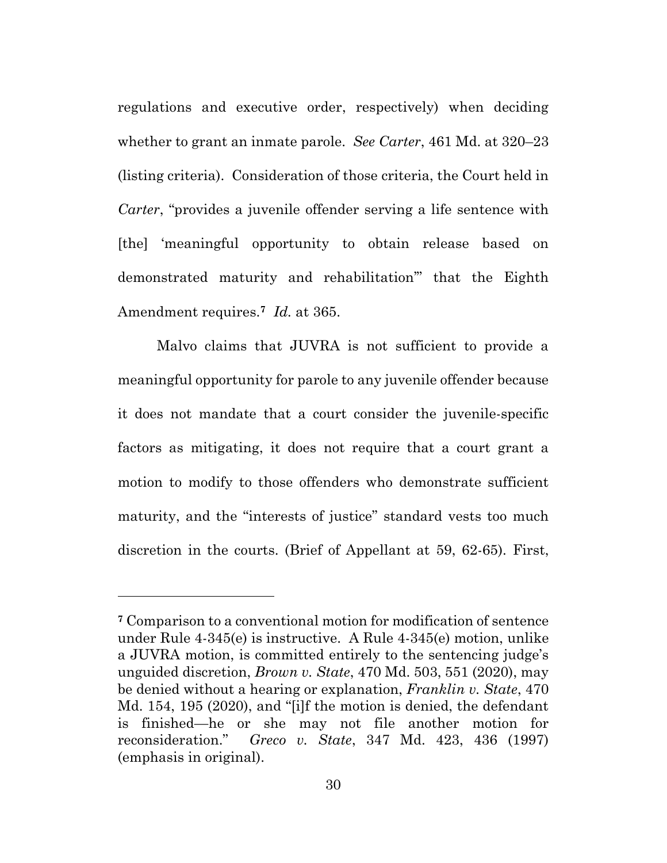regulations and executive order, respectively) when deciding whether to grant an inmate parole. *See Carter*, 461 Md. at 320–23 (listing criteria). Consideration of those criteria, the Court held in *Carter*, "provides a juvenile offender serving a life sentence with [the] 'meaningful opportunity to obtain release based on demonstrated maturity and rehabilitation'" that the Eighth Amendment requires.**<sup>7</sup>** *Id.* at 365.

Malvo claims that JUVRA is not sufficient to provide a meaningful opportunity for parole to any juvenile offender because it does not mandate that a court consider the juvenile-specific factors as mitigating, it does not require that a court grant a motion to modify to those offenders who demonstrate sufficient maturity, and the "interests of justice" standard vests too much discretion in the courts. (Brief of Appellant at 59, 62-65). First,

**<sup>7</sup>** Comparison to a conventional motion for modification of sentence under Rule 4-345(e) is instructive. A Rule 4-345(e) motion, unlike a JUVRA motion, is committed entirely to the sentencing judge's unguided discretion, *Brown v. State*, 470 Md. 503, 551 (2020), may be denied without a hearing or explanation, *Franklin v. State*, 470 Md. 154, 195 (2020), and "[i]f the motion is denied, the defendant is finished—he or she may not file another motion for reconsideration." *Greco v. State*, 347 Md. 423, 436 (1997) (emphasis in original).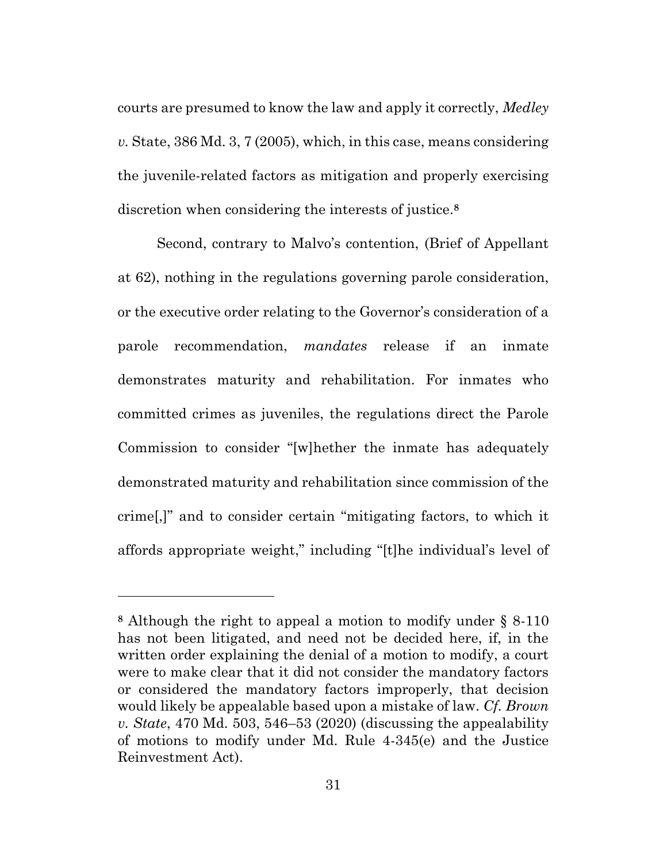courts are presumed to know the law and apply it correctly, *Medley v.* State, 386 Md. 3, 7 (2005), which, in this case, means considering the juvenile-related factors as mitigation and properly exercising discretion when considering the interests of justice. **8**

Second, contrary to Malvo's contention, (Brief of Appellant at 62), nothing in the regulations governing parole consideration, or the executive order relating to the Governor's consideration of a parole recommendation, *mandates* release if an inmate demonstrates maturity and rehabilitation. For inmates who committed crimes as juveniles, the regulations direct the Parole Commission to consider "[w]hether the inmate has adequately demonstrated maturity and rehabilitation since commission of the crime[,]" and to consider certain "mitigating factors, to which it affords appropriate weight," including "[t]he individual's level of

**<sup>8</sup>** Although the right to appeal a motion to modify under § 8-110 has not been litigated, and need not be decided here, if, in the written order explaining the denial of a motion to modify, a court were to make clear that it did not consider the mandatory factors or considered the mandatory factors improperly, that decision would likely be appealable based upon a mistake of law. *Cf. Brown v. State*, 470 Md. 503, 546–53 (2020) (discussing the appealability of motions to modify under Md. Rule 4-345(e) and the Justice Reinvestment Act).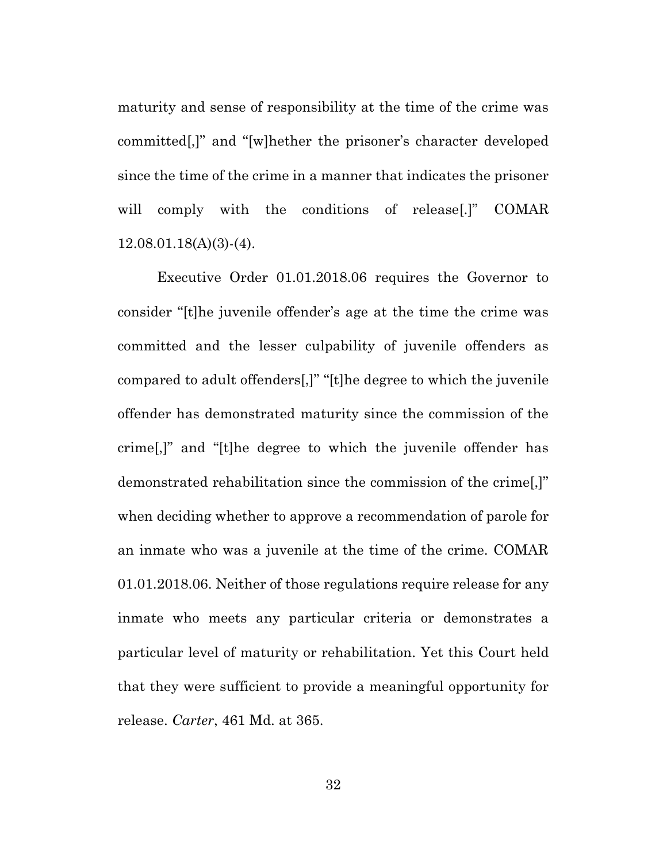maturity and sense of responsibility at the time of the crime was committed[,]" and "[w]hether the prisoner's character developed since the time of the crime in a manner that indicates the prisoner will comply with the conditions of release[.]" COMAR 12.08.01.18(A)(3)-(4).

Executive Order 01.01.2018.06 requires the Governor to consider "[t]he juvenile offender's age at the time the crime was committed and the lesser culpability of juvenile offenders as compared to adult offenders[,]" "[t]he degree to which the juvenile offender has demonstrated maturity since the commission of the crime[,]" and "[t]he degree to which the juvenile offender has demonstrated rehabilitation since the commission of the crime[,]" when deciding whether to approve a recommendation of parole for an inmate who was a juvenile at the time of the crime. COMAR 01.01.2018.06. Neither of those regulations require release for any inmate who meets any particular criteria or demonstrates a particular level of maturity or rehabilitation. Yet this Court held that they were sufficient to provide a meaningful opportunity for release. *Carter*, 461 Md. at 365.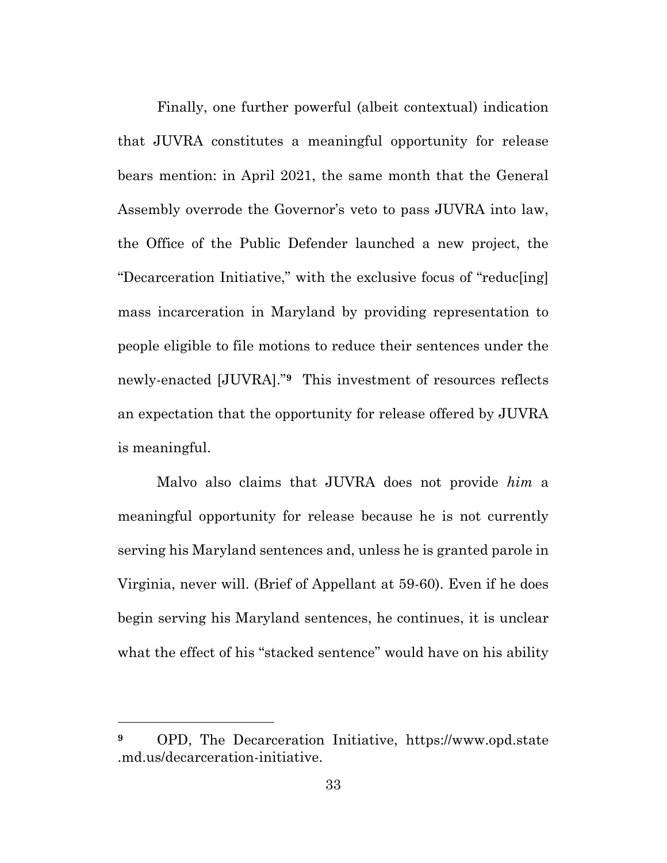Finally, one further powerful (albeit contextual) indication that JUVRA constitutes a meaningful opportunity for release bears mention: in April 2021, the same month that the General Assembly overrode the Governor's veto to pass JUVRA into law, the Office of the Public Defender launched a new project, the "Decarceration Initiative," with the exclusive focus of "reduc[ing] mass incarceration in Maryland by providing representation to people eligible to file motions to reduce their sentences under the newly-enacted [JUVRA]."**9** This investment of resources reflects an expectation that the opportunity for release offered by JUVRA is meaningful.

Malvo also claims that JUVRA does not provide *him* a meaningful opportunity for release because he is not currently serving his Maryland sentences and, unless he is granted parole in Virginia, never will. (Brief of Appellant at 59-60). Even if he does begin serving his Maryland sentences, he continues, it is unclear what the effect of his "stacked sentence" would have on his ability

**<sup>9</sup>** OPD, The Decarceration Initiative, https://www.opd.state .md.us/decarceration-initiative.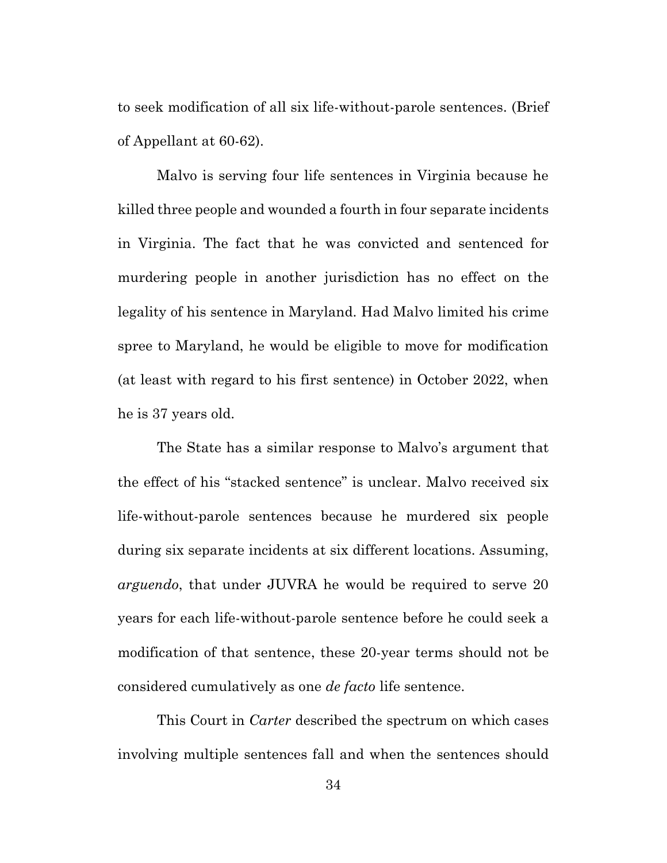to seek modification of all six life-without-parole sentences. (Brief of Appellant at 60-62).

Malvo is serving four life sentences in Virginia because he killed three people and wounded a fourth in four separate incidents in Virginia. The fact that he was convicted and sentenced for murdering people in another jurisdiction has no effect on the legality of his sentence in Maryland. Had Malvo limited his crime spree to Maryland, he would be eligible to move for modification (at least with regard to his first sentence) in October 2022, when he is 37 years old.

The State has a similar response to Malvo's argument that the effect of his "stacked sentence" is unclear. Malvo received six life-without-parole sentences because he murdered six people during six separate incidents at six different locations. Assuming, *arguendo*, that under JUVRA he would be required to serve 20 years for each life-without-parole sentence before he could seek a modification of that sentence, these 20-year terms should not be considered cumulatively as one *de facto* life sentence.

This Court in *Carter* described the spectrum on which cases involving multiple sentences fall and when the sentences should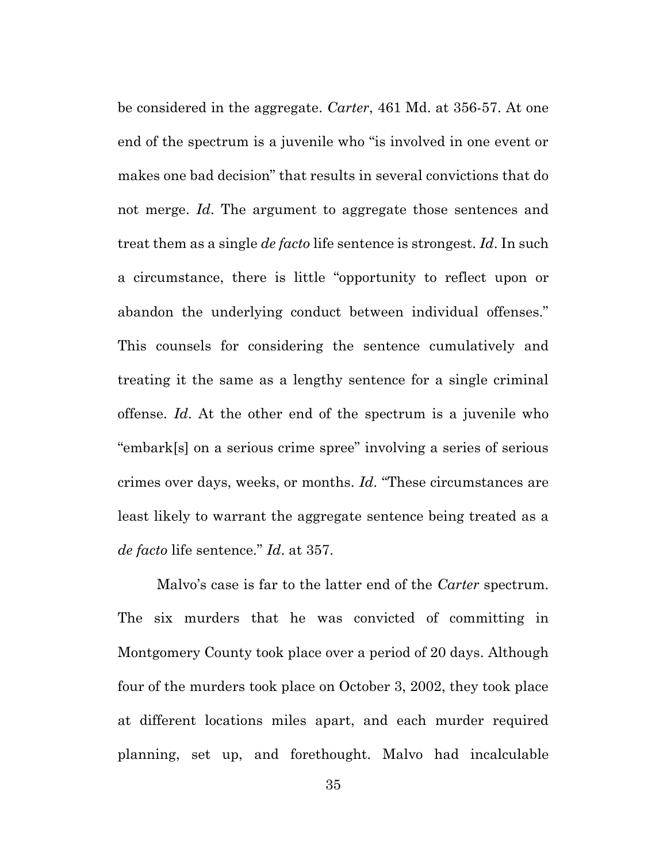be considered in the aggregate. *Carter*, 461 Md. at 356-57. At one end of the spectrum is a juvenile who "is involved in one event or makes one bad decision" that results in several convictions that do not merge. *Id*. The argument to aggregate those sentences and treat them as a single *de facto* life sentence is strongest. *Id*. In such a circumstance, there is little "opportunity to reflect upon or abandon the underlying conduct between individual offenses." This counsels for considering the sentence cumulatively and treating it the same as a lengthy sentence for a single criminal offense. *Id*. At the other end of the spectrum is a juvenile who "embark[s] on a serious crime spree" involving a series of serious crimes over days, weeks, or months. *Id*. "These circumstances are least likely to warrant the aggregate sentence being treated as a *de facto* life sentence." *Id*. at 357.

Malvo's case is far to the latter end of the *Carter* spectrum. The six murders that he was convicted of committing in Montgomery County took place over a period of 20 days. Although four of the murders took place on October 3, 2002, they took place at different locations miles apart, and each murder required planning, set up, and forethought. Malvo had incalculable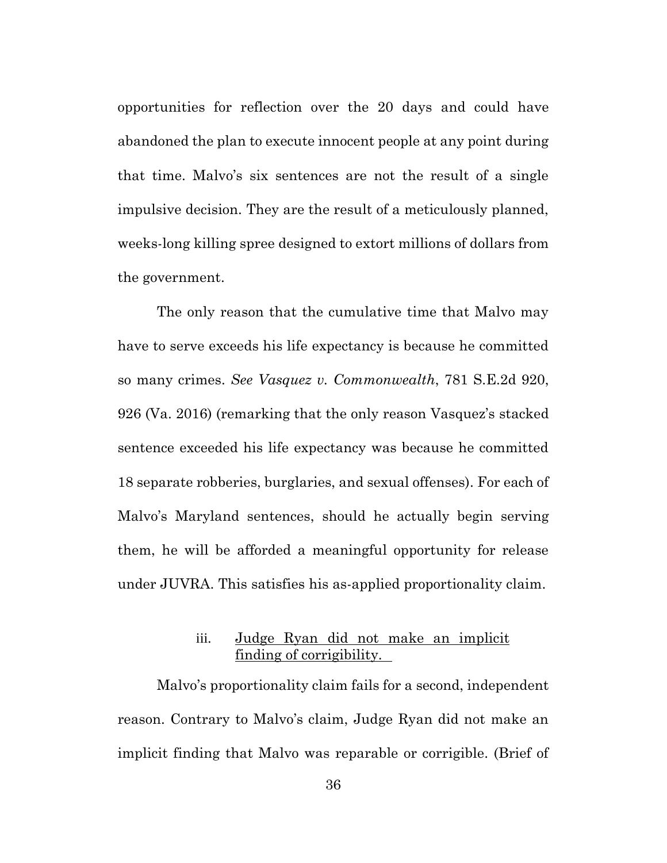opportunities for reflection over the 20 days and could have abandoned the plan to execute innocent people at any point during that time. Malvo's six sentences are not the result of a single impulsive decision. They are the result of a meticulously planned, weeks-long killing spree designed to extort millions of dollars from the government.

The only reason that the cumulative time that Malvo may have to serve exceeds his life expectancy is because he committed so many crimes. *See Vasquez v. Commonwealth*, 781 S.E.2d 920, 926 (Va. 2016) (remarking that the only reason Vasquez's stacked sentence exceeded his life expectancy was because he committed 18 separate robberies, burglaries, and sexual offenses). For each of Malvo's Maryland sentences, should he actually begin serving them, he will be afforded a meaningful opportunity for release under JUVRA. This satisfies his as-applied proportionality claim.

# iii. Judge Ryan did not make an implicit finding of corrigibility.

Malvo's proportionality claim fails for a second, independent reason. Contrary to Malvo's claim, Judge Ryan did not make an implicit finding that Malvo was reparable or corrigible. (Brief of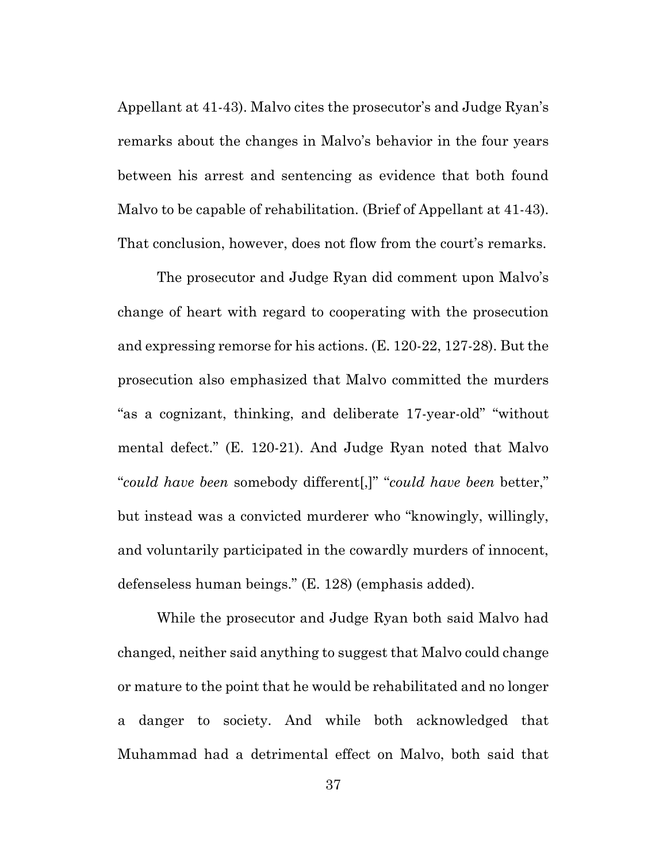Appellant at 41-43). Malvo cites the prosecutor's and Judge Ryan's remarks about the changes in Malvo's behavior in the four years between his arrest and sentencing as evidence that both found Malvo to be capable of rehabilitation. (Brief of Appellant at 41-43). That conclusion, however, does not flow from the court's remarks.

The prosecutor and Judge Ryan did comment upon Malvo's change of heart with regard to cooperating with the prosecution and expressing remorse for his actions. (E. 120-22, 127-28). But the prosecution also emphasized that Malvo committed the murders "as a cognizant, thinking, and deliberate 17-year-old" "without mental defect." (E. 120-21). And Judge Ryan noted that Malvo "*could have been* somebody different[,]" "*could have been* better," but instead was a convicted murderer who "knowingly, willingly, and voluntarily participated in the cowardly murders of innocent, defenseless human beings." (E. 128) (emphasis added).

While the prosecutor and Judge Ryan both said Malvo had changed, neither said anything to suggest that Malvo could change or mature to the point that he would be rehabilitated and no longer a danger to society. And while both acknowledged that Muhammad had a detrimental effect on Malvo, both said that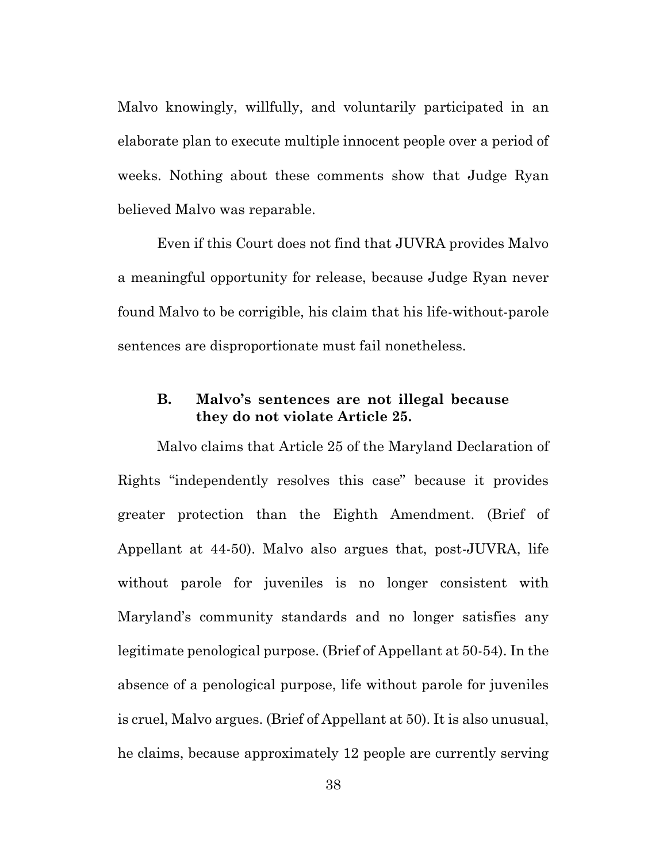Malvo knowingly, willfully, and voluntarily participated in an elaborate plan to execute multiple innocent people over a period of weeks. Nothing about these comments show that Judge Ryan believed Malvo was reparable.

Even if this Court does not find that JUVRA provides Malvo a meaningful opportunity for release, because Judge Ryan never found Malvo to be corrigible, his claim that his life-without-parole sentences are disproportionate must fail nonetheless.

#### **B. Malvo's sentences are not illegal because they do not violate Article 25.**

Malvo claims that Article 25 of the Maryland Declaration of Rights "independently resolves this case" because it provides greater protection than the Eighth Amendment. (Brief of Appellant at 44-50). Malvo also argues that, post-JUVRA, life without parole for juveniles is no longer consistent with Maryland's community standards and no longer satisfies any legitimate penological purpose. (Brief of Appellant at 50-54). In the absence of a penological purpose, life without parole for juveniles is cruel, Malvo argues. (Brief of Appellant at 50). It is also unusual, he claims, because approximately 12 people are currently serving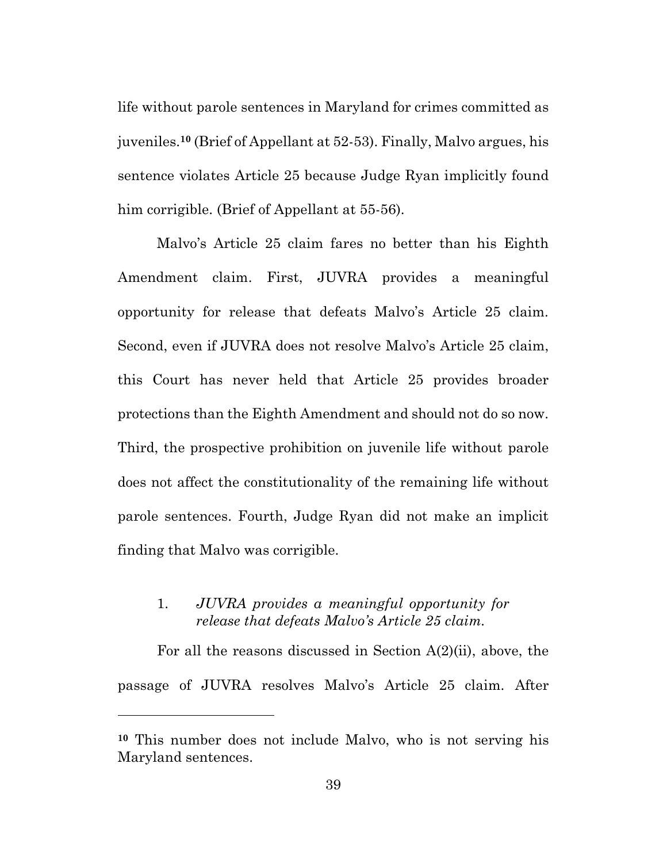life without parole sentences in Maryland for crimes committed as juveniles.**<sup>10</sup>** (Brief of Appellant at 52-53). Finally, Malvo argues, his sentence violates Article 25 because Judge Ryan implicitly found him corrigible. (Brief of Appellant at 55-56).

Malvo's Article 25 claim fares no better than his Eighth Amendment claim. First, JUVRA provides a meaningful opportunity for release that defeats Malvo's Article 25 claim. Second, even if JUVRA does not resolve Malvo's Article 25 claim, this Court has never held that Article 25 provides broader protections than the Eighth Amendment and should not do so now. Third, the prospective prohibition on juvenile life without parole does not affect the constitutionality of the remaining life without parole sentences. Fourth, Judge Ryan did not make an implicit finding that Malvo was corrigible.

#### 1. *JUVRA provides a meaningful opportunity for release that defeats Malvo's Article 25 claim.*

For all the reasons discussed in Section A(2)(ii), above, the passage of JUVRA resolves Malvo's Article 25 claim. After

**<sup>10</sup>** This number does not include Malvo, who is not serving his Maryland sentences.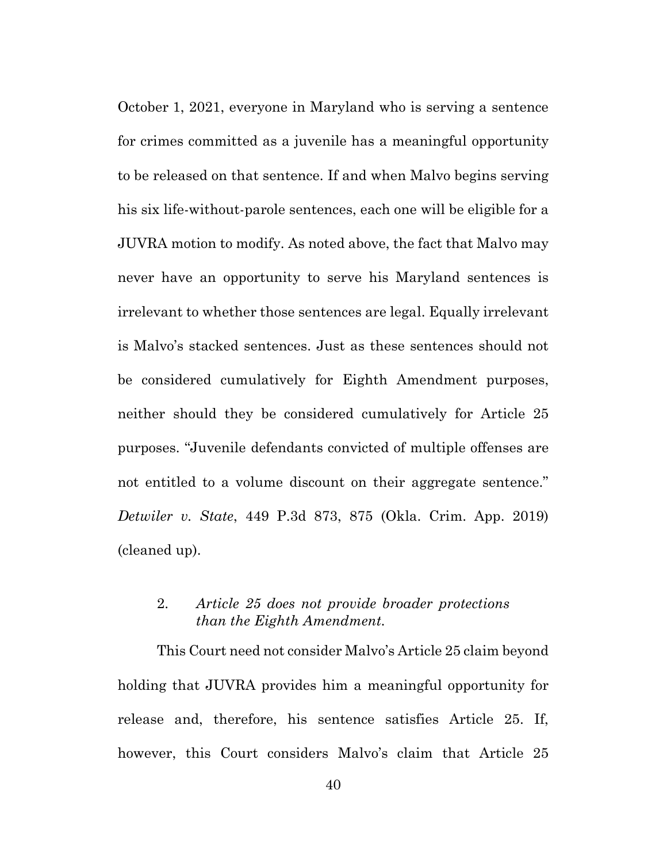October 1, 2021, everyone in Maryland who is serving a sentence for crimes committed as a juvenile has a meaningful opportunity to be released on that sentence. If and when Malvo begins serving his six life-without-parole sentences, each one will be eligible for a JUVRA motion to modify. As noted above, the fact that Malvo may never have an opportunity to serve his Maryland sentences is irrelevant to whether those sentences are legal. Equally irrelevant is Malvo's stacked sentences. Just as these sentences should not be considered cumulatively for Eighth Amendment purposes, neither should they be considered cumulatively for Article 25 purposes. "Juvenile defendants convicted of multiple offenses are not entitled to a volume discount on their aggregate sentence." *Detwiler v. State*, 449 P.3d 873, 875 (Okla. Crim. App. 2019) (cleaned up).

#### 2. *Article 25 does not provide broader protections than the Eighth Amendment.*

This Court need not consider Malvo's Article 25 claim beyond holding that JUVRA provides him a meaningful opportunity for release and, therefore, his sentence satisfies Article 25. If, however, this Court considers Malvo's claim that Article 25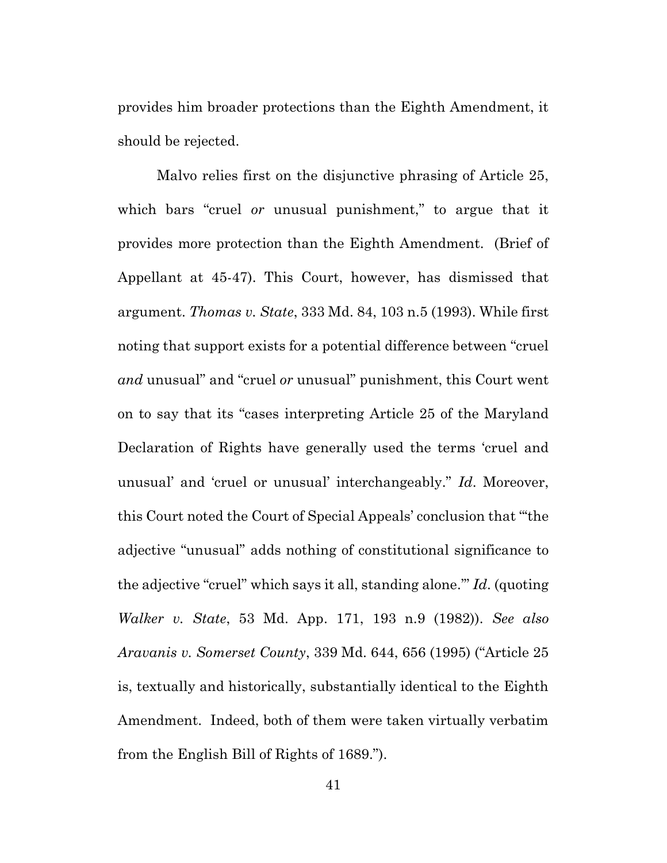provides him broader protections than the Eighth Amendment, it should be rejected.

Malvo relies first on the disjunctive phrasing of Article 25, which bars "cruel *or* unusual punishment," to argue that it provides more protection than the Eighth Amendment. (Brief of Appellant at 45-47). This Court, however, has dismissed that argument. *Thomas v. State*, 333 Md. 84, 103 n.5 (1993). While first noting that support exists for a potential difference between "cruel *and* unusual" and "cruel *or* unusual" punishment, this Court went on to say that its "cases interpreting Article 25 of the Maryland Declaration of Rights have generally used the terms 'cruel and unusual' and 'cruel or unusual' interchangeably." *Id*. Moreover, this Court noted the Court of Special Appeals' conclusion that "'the adjective "unusual" adds nothing of constitutional significance to the adjective "cruel" which says it all, standing alone.'" *Id*. (quoting *Walker v. State*, 53 Md. App. 171, 193 n.9 (1982)). *See also Aravanis v. Somerset County*, 339 Md. 644, 656 (1995) ("Article 25 is, textually and historically, substantially identical to the Eighth Amendment. Indeed, both of them were taken virtually verbatim from the English Bill of Rights of 1689.").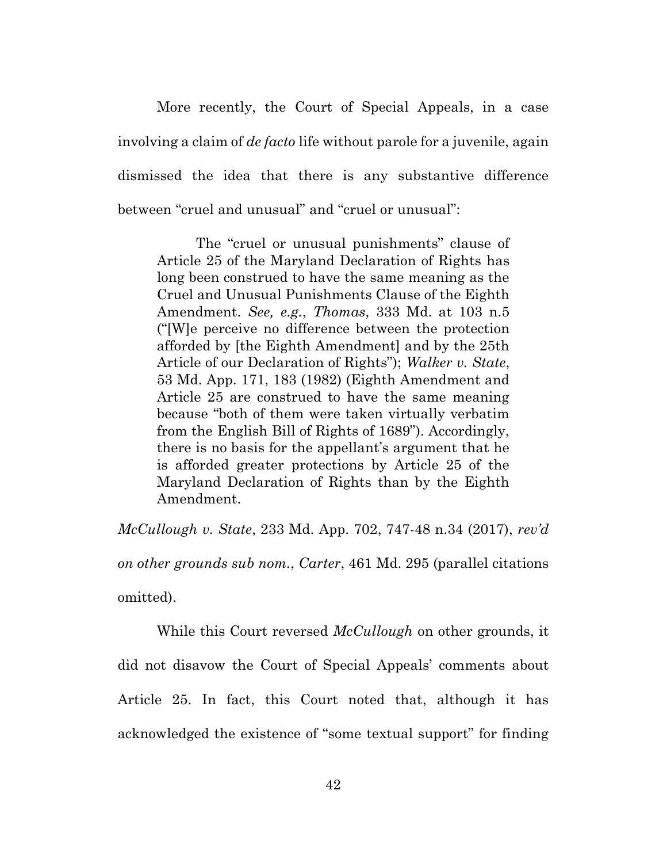More recently, the Court of Special Appeals, in a case involving a claim of *de facto* life without parole for a juvenile, again dismissed the idea that there is any substantive difference between "cruel and unusual" and "cruel or unusual":

The "cruel or unusual punishments" clause of Article 25 of the Maryland Declaration of Rights has long been construed to have the same meaning as the Cruel and Unusual Punishments Clause of the Eighth Amendment. *See, e.g.*, *Thomas*, 333 Md. at 103 n.5 ("[W]e perceive no difference between the protection afforded by [the Eighth Amendment] and by the 25th Article of our Declaration of Rights"); *Walker v. State*, 53 Md. App. 171, 183 (1982) (Eighth Amendment and Article 25 are construed to have the same meaning because "both of them were taken virtually verbatim from the English Bill of Rights of 1689"). Accordingly, there is no basis for the appellant's argument that he is afforded greater protections by Article 25 of the Maryland Declaration of Rights than by the Eighth Amendment.

*McCullough v. State*, 233 Md. App. 702, 747-48 n.34 (2017), *rev'd on other grounds sub nom.*, *Carter*, 461 Md. 295 (parallel citations omitted).

While this Court reversed *McCullough* on other grounds, it did not disavow the Court of Special Appeals' comments about Article 25. In fact, this Court noted that, although it has acknowledged the existence of "some textual support" for finding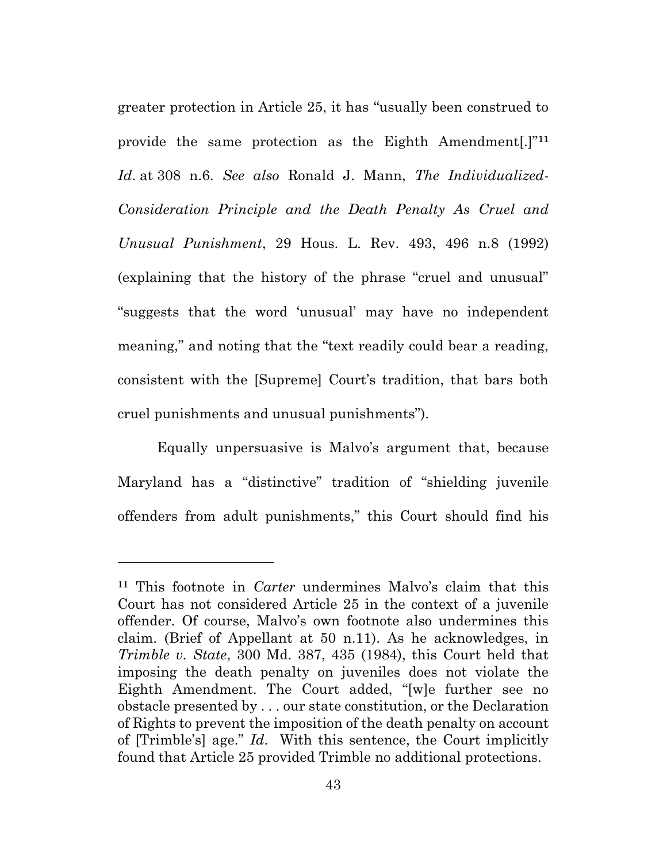greater protection in Article 25, it has "usually been construed to provide the same protection as the Eighth Amendment[.]"**<sup>11</sup>** *Id*. at 308 n.6. *See also* Ronald J. Mann, *The Individualized-Consideration Principle and the Death Penalty As Cruel and Unusual Punishment*, 29 Hous. L. Rev. 493, 496 n.8 (1992) (explaining that the history of the phrase "cruel and unusual" "suggests that the word 'unusual' may have no independent meaning," and noting that the "text readily could bear a reading, consistent with the [Supreme] Court's tradition, that bars both cruel punishments and unusual punishments").

Equally unpersuasive is Malvo's argument that, because Maryland has a "distinctive" tradition of "shielding juvenile offenders from adult punishments," this Court should find his

**<sup>11</sup>** This footnote in *Carter* undermines Malvo's claim that this Court has not considered Article 25 in the context of a juvenile offender. Of course, Malvo's own footnote also undermines this claim. (Brief of Appellant at 50 n.11). As he acknowledges, in *Trimble v. State*, 300 Md. 387, 435 (1984), this Court held that imposing the death penalty on juveniles does not violate the Eighth Amendment. The Court added, "[w]e further see no obstacle presented by . . . our state constitution, or the Declaration of Rights to prevent the imposition of the death penalty on account of [Trimble's] age." *Id*. With this sentence, the Court implicitly found that Article 25 provided Trimble no additional protections.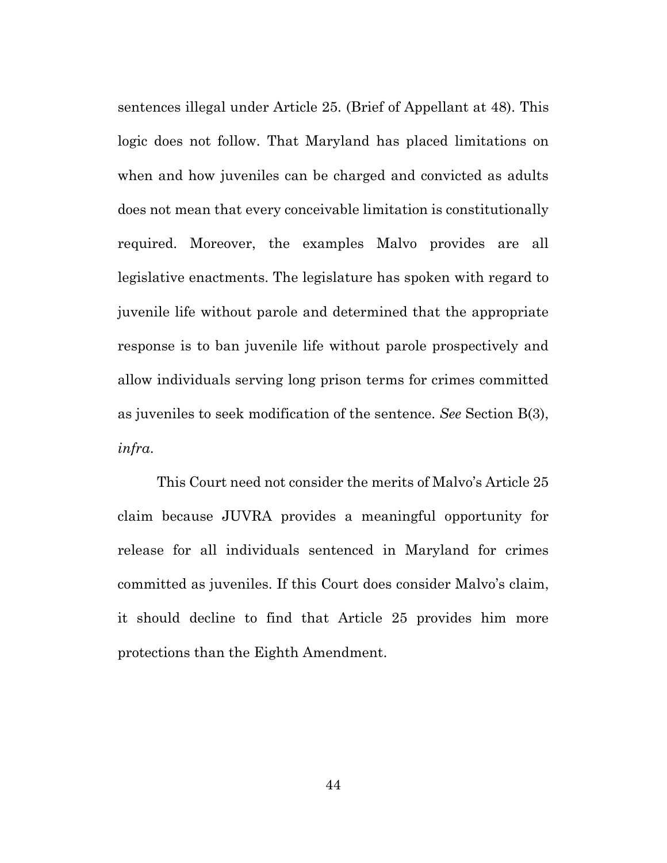sentences illegal under Article 25. (Brief of Appellant at 48). This logic does not follow. That Maryland has placed limitations on when and how juveniles can be charged and convicted as adults does not mean that every conceivable limitation is constitutionally required. Moreover, the examples Malvo provides are all legislative enactments. The legislature has spoken with regard to juvenile life without parole and determined that the appropriate response is to ban juvenile life without parole prospectively and allow individuals serving long prison terms for crimes committed as juveniles to seek modification of the sentence. *See* Section B(3), *infra*.

This Court need not consider the merits of Malvo's Article 25 claim because JUVRA provides a meaningful opportunity for release for all individuals sentenced in Maryland for crimes committed as juveniles. If this Court does consider Malvo's claim, it should decline to find that Article 25 provides him more protections than the Eighth Amendment.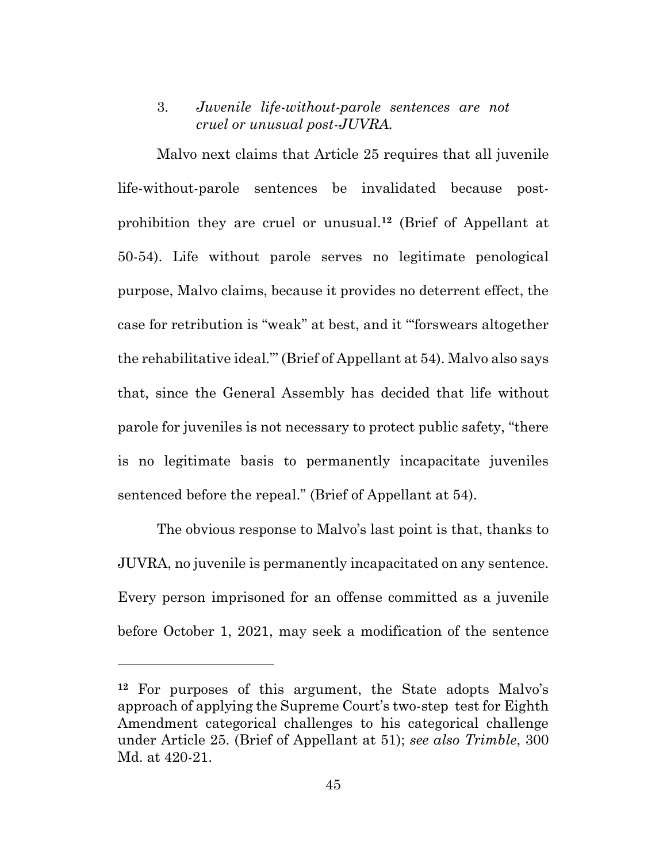#### 3. *Juvenile life-without-parole sentences are not cruel or unusual post-JUVRA.*

Malvo next claims that Article 25 requires that all juvenile life-without-parole sentences be invalidated because postprohibition they are cruel or unusual.**<sup>12</sup>** (Brief of Appellant at 50-54). Life without parole serves no legitimate penological purpose, Malvo claims, because it provides no deterrent effect, the case for retribution is "weak" at best, and it '"forswears altogether the rehabilitative ideal."' (Brief of Appellant at 54). Malvo also says that, since the General Assembly has decided that life without parole for juveniles is not necessary to protect public safety, "there is no legitimate basis to permanently incapacitate juveniles sentenced before the repeal." (Brief of Appellant at 54).

The obvious response to Malvo's last point is that, thanks to JUVRA, no juvenile is permanently incapacitated on any sentence. Every person imprisoned for an offense committed as a juvenile before October 1, 2021, may seek a modification of the sentence

**<sup>12</sup>** For purposes of this argument, the State adopts Malvo's approach of applying the Supreme Court's two-step test for Eighth Amendment categorical challenges to his categorical challenge under Article 25. (Brief of Appellant at 51); *see also Trimble*, 300 Md. at 420-21.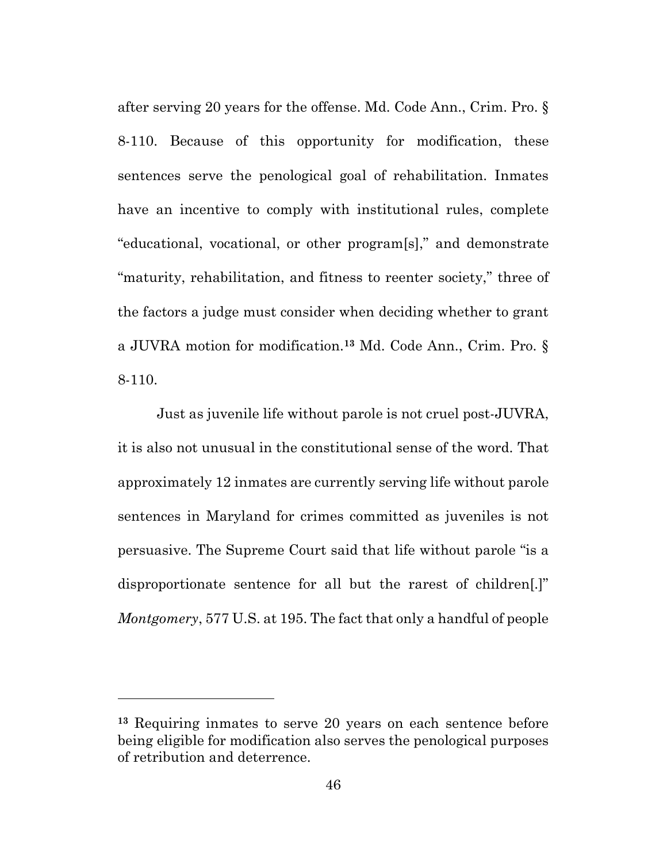after serving 20 years for the offense. Md. Code Ann., Crim. Pro. § 8-110. Because of this opportunity for modification, these sentences serve the penological goal of rehabilitation. Inmates have an incentive to comply with institutional rules, complete "educational, vocational, or other program[s]," and demonstrate "maturity, rehabilitation, and fitness to reenter society," three of the factors a judge must consider when deciding whether to grant a JUVRA motion for modification.**<sup>13</sup>** Md. Code Ann., Crim. Pro. § 8-110.

Just as juvenile life without parole is not cruel post-JUVRA, it is also not unusual in the constitutional sense of the word. That approximately 12 inmates are currently serving life without parole sentences in Maryland for crimes committed as juveniles is not persuasive. The Supreme Court said that life without parole "is a disproportionate sentence for all but the rarest of children[.]" *Montgomery*, 577 U.S. at 195. The fact that only a handful of people

**<sup>13</sup>** Requiring inmates to serve 20 years on each sentence before being eligible for modification also serves the penological purposes of retribution and deterrence.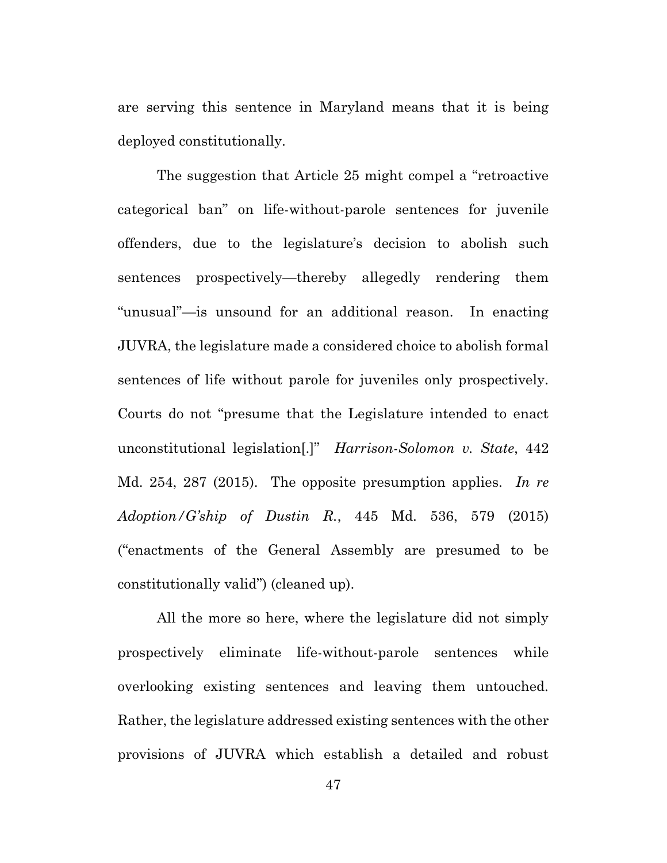are serving this sentence in Maryland means that it is being deployed constitutionally.

The suggestion that Article 25 might compel a "retroactive categorical ban" on life-without-parole sentences for juvenile offenders, due to the legislature's decision to abolish such sentences prospectively—thereby allegedly rendering them "unusual"—is unsound for an additional reason. In enacting JUVRA, the legislature made a considered choice to abolish formal sentences of life without parole for juveniles only prospectively. Courts do not "presume that the Legislature intended to enact unconstitutional legislation[.]" *Harrison-Solomon v. State*, 442 Md. 254, 287 (2015). The opposite presumption applies. *In re Adoption/G'ship of Dustin R.*, 445 Md. 536, 579 (2015) ("enactments of the General Assembly are presumed to be constitutionally valid") (cleaned up).

All the more so here, where the legislature did not simply prospectively eliminate life-without-parole sentences while overlooking existing sentences and leaving them untouched. Rather, the legislature addressed existing sentences with the other provisions of JUVRA which establish a detailed and robust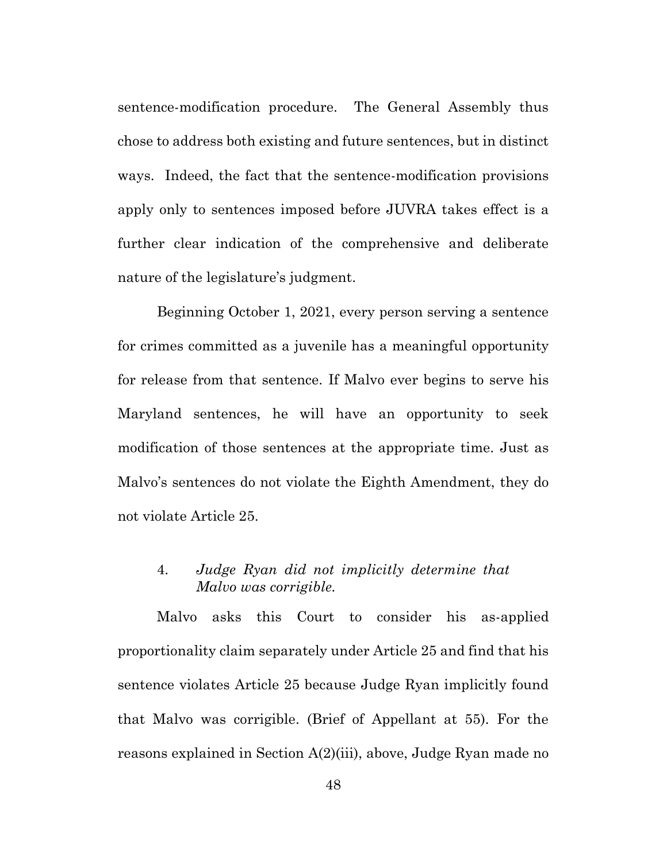sentence-modification procedure. The General Assembly thus chose to address both existing and future sentences, but in distinct ways. Indeed, the fact that the sentence-modification provisions apply only to sentences imposed before JUVRA takes effect is a further clear indication of the comprehensive and deliberate nature of the legislature's judgment.

Beginning October 1, 2021, every person serving a sentence for crimes committed as a juvenile has a meaningful opportunity for release from that sentence. If Malvo ever begins to serve his Maryland sentences, he will have an opportunity to seek modification of those sentences at the appropriate time. Just as Malvo's sentences do not violate the Eighth Amendment, they do not violate Article 25.

#### 4. *Judge Ryan did not implicitly determine that Malvo was corrigible.*

Malvo asks this Court to consider his as-applied proportionality claim separately under Article 25 and find that his sentence violates Article 25 because Judge Ryan implicitly found that Malvo was corrigible. (Brief of Appellant at 55). For the reasons explained in Section A(2)(iii), above, Judge Ryan made no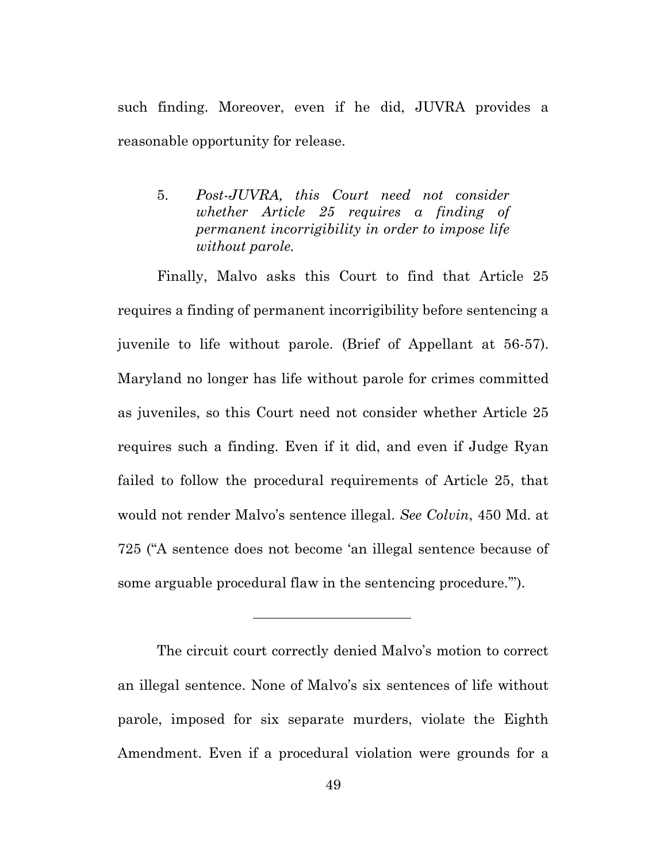such finding. Moreover, even if he did, JUVRA provides a reasonable opportunity for release.

5. *Post-JUVRA, this Court need not consider whether Article 25 requires a finding of permanent incorrigibility in order to impose life without parole.*

Finally, Malvo asks this Court to find that Article 25 requires a finding of permanent incorrigibility before sentencing a juvenile to life without parole. (Brief of Appellant at 56-57). Maryland no longer has life without parole for crimes committed as juveniles, so this Court need not consider whether Article 25 requires such a finding. Even if it did, and even if Judge Ryan failed to follow the procedural requirements of Article 25, that would not render Malvo's sentence illegal. *See Colvin*, 450 Md. at 725 ("A sentence does not become 'an illegal sentence because of some arguable procedural flaw in the sentencing procedure.'").

The circuit court correctly denied Malvo's motion to correct an illegal sentence. None of Malvo's six sentences of life without parole, imposed for six separate murders, violate the Eighth Amendment. Even if a procedural violation were grounds for a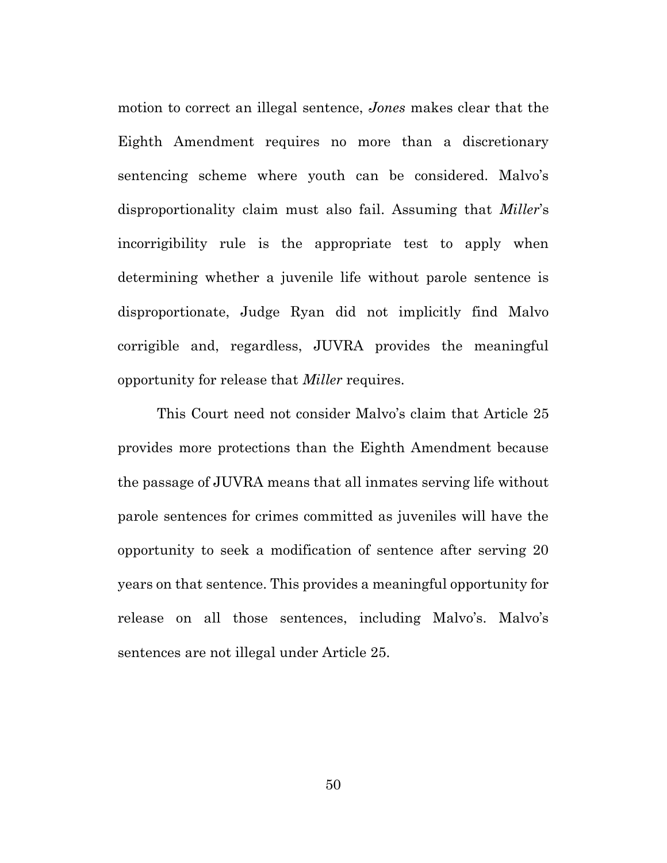motion to correct an illegal sentence, *Jones* makes clear that the Eighth Amendment requires no more than a discretionary sentencing scheme where youth can be considered. Malvo's disproportionality claim must also fail. Assuming that *Miller*'s incorrigibility rule is the appropriate test to apply when determining whether a juvenile life without parole sentence is disproportionate, Judge Ryan did not implicitly find Malvo corrigible and, regardless, JUVRA provides the meaningful opportunity for release that *Miller* requires.

This Court need not consider Malvo's claim that Article 25 provides more protections than the Eighth Amendment because the passage of JUVRA means that all inmates serving life without parole sentences for crimes committed as juveniles will have the opportunity to seek a modification of sentence after serving 20 years on that sentence. This provides a meaningful opportunity for release on all those sentences, including Malvo's. Malvo's sentences are not illegal under Article 25.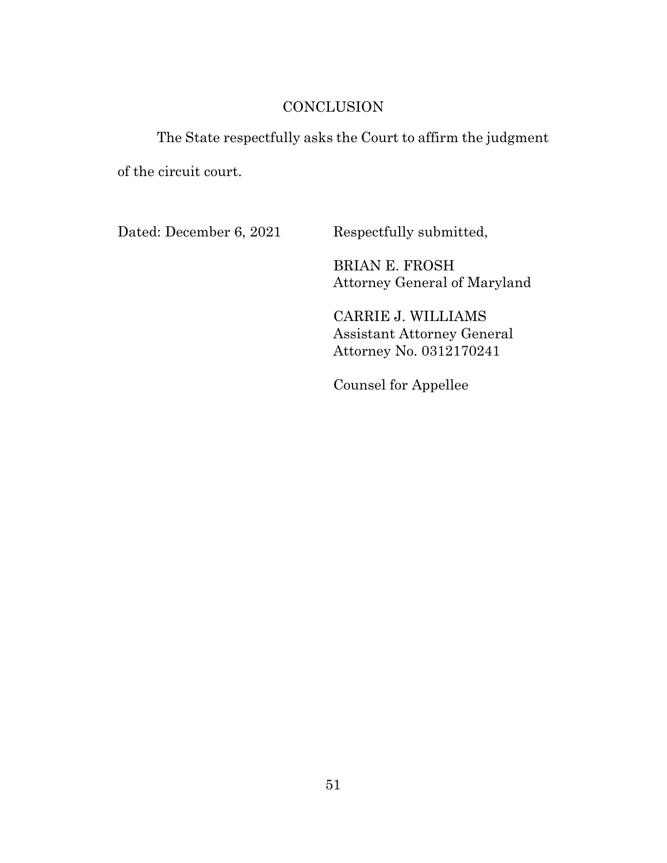## **CONCLUSION**

### The State respectfully asks the Court to affirm the judgment

of the circuit court.

Dated: December 6, 2021 Respectfully submitted,

BRIAN E. FROSH Attorney General of Maryland

CARRIE J. WILLIAMS Assistant Attorney General Attorney No. 0312170241

Counsel for Appellee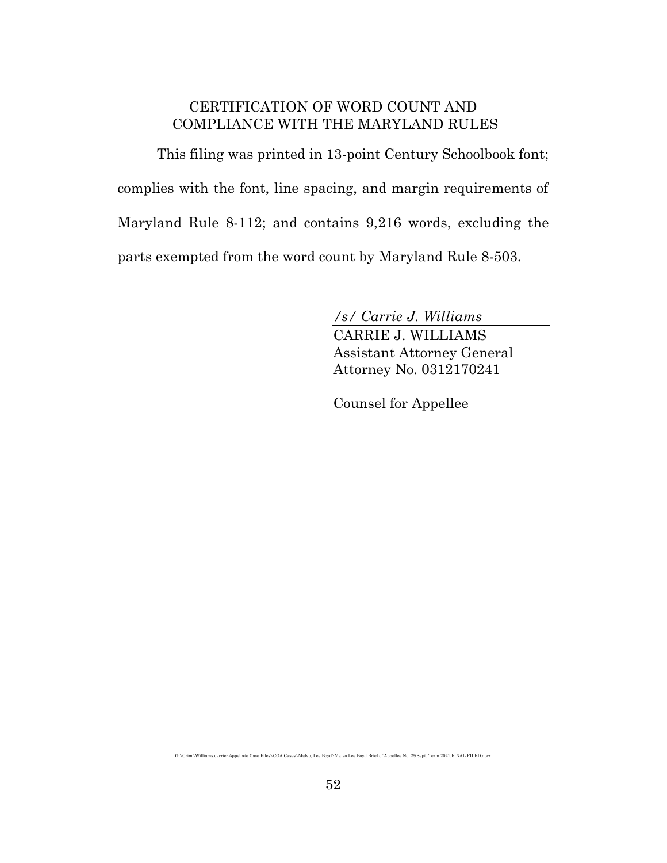### CERTIFICATION OF WORD COUNT AND COMPLIANCE WITH THE MARYLAND RULES

This filing was printed in 13-point Century Schoolbook font; complies with the font, line spacing, and margin requirements of Maryland Rule 8-112; and contains 9,216 words, excluding the parts exempted from the word count by Maryland Rule 8-503.

*/s/ Carrie J. Williams*

CARRIE J. WILLIAMS Assistant Attorney General Attorney No. 0312170241

Counsel for Appellee

G:\Crim\Williams.carrie\Appellate Case Files\COA Cases\Malvo, Lee Boyd\Malvo Lee Boyd Brief of Appellee No. 29 Sept. Term 2021.FINAL.FILED.docx